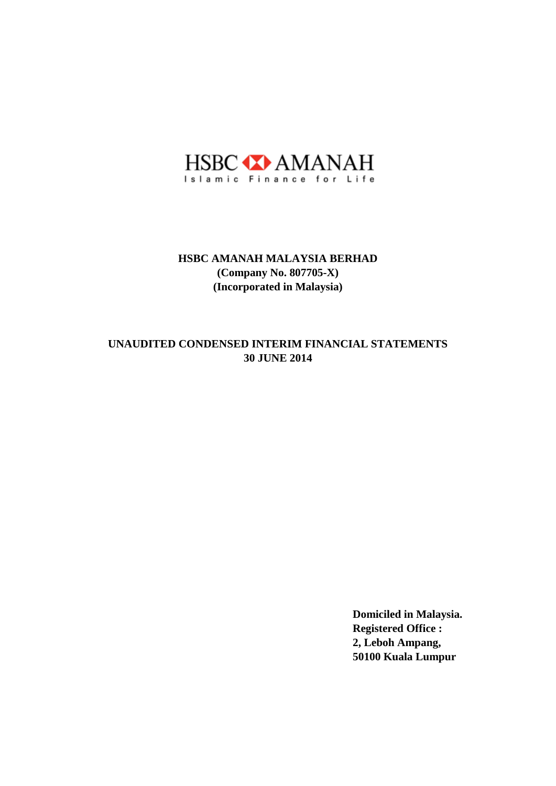

## **30 JUNE 2014 UNAUDITED CONDENSED INTERIM FINANCIAL STATEMENTS**

**Domiciled in Malaysia. Registered Office : 2, Leboh Ampang, 50100 Kuala Lumpur**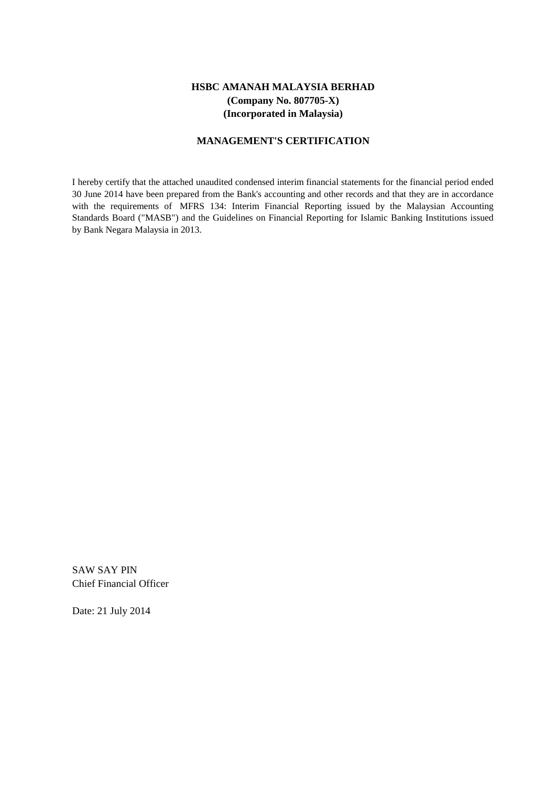#### **MANAGEMENT'S CERTIFICATION**

I hereby certify that the attached unaudited condensed interim financial statements for the financial period ended 30 June 2014 have been prepared from the Bank's accounting and other records and that they are in accordance with the requirements of MFRS 134: Interim Financial Reporting issued by the Malaysian Accounting Standards Board ("MASB") and the Guidelines on Financial Reporting for Islamic Banking Institutions issued by Bank Negara Malaysia in 2013.

SAW SAY PIN Chief Financial Officer

Date: 21 July 2014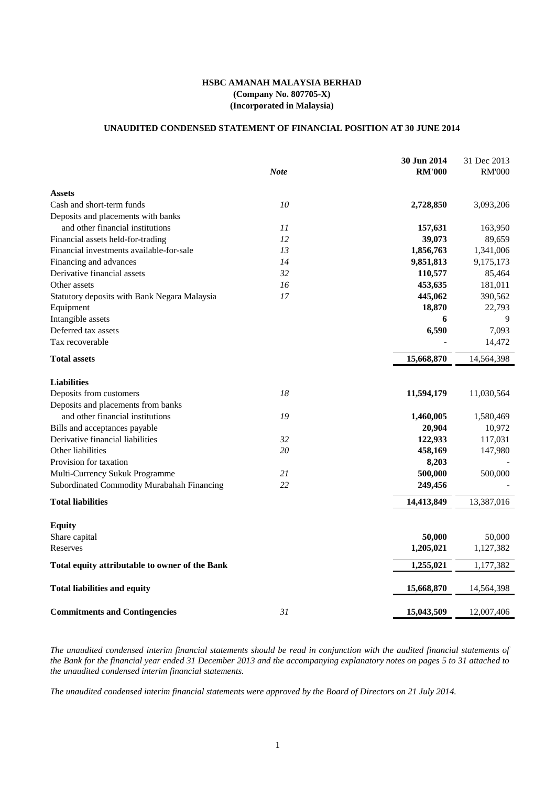## **UNAUDITED CONDENSED STATEMENT OF FINANCIAL POSITION AT 30 JUNE 2014**

|                                                |             | 30 Jun 2014   | 31 Dec 2013   |
|------------------------------------------------|-------------|---------------|---------------|
|                                                | <b>Note</b> | <b>RM'000</b> | <b>RM'000</b> |
| <b>Assets</b>                                  |             |               |               |
| Cash and short-term funds                      | 10          | 2,728,850     | 3,093,206     |
| Deposits and placements with banks             |             |               |               |
| and other financial institutions               | 11          | 157,631       | 163,950       |
| Financial assets held-for-trading              | 12          | 39,073        | 89,659        |
| Financial investments available-for-sale       | 13          | 1,856,763     | 1,341,006     |
| Financing and advances                         | 14          | 9,851,813     | 9,175,173     |
| Derivative financial assets                    | 32          | 110,577       | 85,464        |
| Other assets                                   | 16          | 453,635       | 181,011       |
| Statutory deposits with Bank Negara Malaysia   | 17          | 445,062       | 390,562       |
| Equipment                                      |             | 18,870        | 22,793        |
| Intangible assets                              |             | 6             | 9             |
| Deferred tax assets                            |             | 6,590         | 7,093         |
| Tax recoverable                                |             |               | 14,472        |
| <b>Total assets</b>                            |             | 15,668,870    | 14,564,398    |
| <b>Liabilities</b>                             |             |               |               |
| Deposits from customers                        | 18          | 11,594,179    | 11,030,564    |
| Deposits and placements from banks             |             |               |               |
| and other financial institutions               | 19          | 1,460,005     | 1,580,469     |
| Bills and acceptances payable                  |             | 20,904        | 10,972        |
| Derivative financial liabilities               | 32          | 122,933       | 117,031       |
| Other liabilities                              | 20          | 458,169       | 147,980       |
| Provision for taxation                         |             | 8,203         |               |
| Multi-Currency Sukuk Programme                 | 21          | 500,000       | 500,000       |
| Subordinated Commodity Murabahah Financing     | 22          | 249,456       |               |
| <b>Total liabilities</b>                       |             | 14,413,849    | 13,387,016    |
| <b>Equity</b>                                  |             |               |               |
| Share capital                                  |             | 50,000        | 50,000        |
| Reserves                                       |             | 1,205,021     | 1,127,382     |
| Total equity attributable to owner of the Bank |             | 1,255,021     | 1,177,382     |
| <b>Total liabilities and equity</b>            |             | 15,668,870    | 14,564,398    |
| <b>Commitments and Contingencies</b>           | 31          | 15,043,509    | 12,007,406    |

The unaudited condensed interim financial statements should be read in conjunction with the audited financial statements of the Bank for the financial year ended 31 December 2013 and the accompanying explanatory notes on pages 5 to 31 attached to *the unaudited condensed interim financial statements.*

The unaudited condensed interim financial statements were approved by the Board of Directors on 21 July 2014.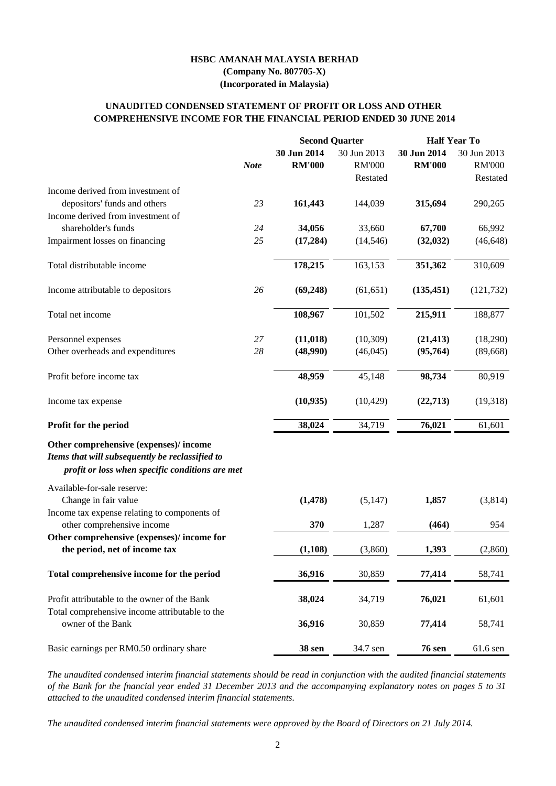The unaudited condensed interim financial statements should be read in conjunction with the audited financial statements of the Bank for the fnancial year ended 31 December 2013 and the accompanying explanatory notes on pages 5 to 31 *attached to the unaudited condensed interim financial statements.*

|                                                                                                                                             |             |                              | <b>Second Quarter</b>        | <b>Half Year To</b>          |                              |  |
|---------------------------------------------------------------------------------------------------------------------------------------------|-------------|------------------------------|------------------------------|------------------------------|------------------------------|--|
|                                                                                                                                             | <b>Note</b> | 30 Jun 2014<br><b>RM'000</b> | 30 Jun 2013<br><b>RM'000</b> | 30 Jun 2014<br><b>RM'000</b> | 30 Jun 2013<br><b>RM'000</b> |  |
| Income derived from investment of                                                                                                           |             |                              | Restated                     |                              | Restated                     |  |
| depositors' funds and others                                                                                                                | 23          | 161,443                      | 144,039                      | 315,694                      | 290,265                      |  |
| Income derived from investment of                                                                                                           |             |                              |                              |                              |                              |  |
| shareholder's funds                                                                                                                         | 24          | 34,056                       | 33,660                       | 67,700                       | 66,992                       |  |
| Impairment losses on financing                                                                                                              | 25          | (17,284)                     | (14, 546)                    | (32, 032)                    | (46, 648)                    |  |
| Total distributable income                                                                                                                  |             | 178,215                      | 163,153                      | 351,362                      | 310,609                      |  |
| Income attributable to depositors                                                                                                           | 26          | (69, 248)                    | (61, 651)                    | (135, 451)                   | (121, 732)                   |  |
| Total net income                                                                                                                            |             | 108,967                      | 101,502                      | 215,911                      | 188,877                      |  |
| Personnel expenses                                                                                                                          | 27          | (11, 018)                    | (10,309)                     | (21, 413)                    | (18,290)                     |  |
| Other overheads and expenditures                                                                                                            | 28          | (48,990)                     | (46, 045)                    | (95,764)                     | (89, 668)                    |  |
| Profit before income tax                                                                                                                    |             | 48,959                       | 45,148                       | 98,734                       | 80,919                       |  |
| Income tax expense                                                                                                                          |             | (10, 935)                    | (10, 429)                    | (22,713)                     | (19,318)                     |  |
| Profit for the period                                                                                                                       |             | 38,024                       | 34,719                       | 76,021                       | 61,601                       |  |
| Other comprehensive (expenses)/income<br>Items that will subsequently be reclassified to<br>profit or loss when specific conditions are met |             |                              |                              |                              |                              |  |
| Available-for-sale reserve:                                                                                                                 |             |                              |                              |                              |                              |  |
| Change in fair value                                                                                                                        |             | (1, 478)                     | (5,147)                      | 1,857                        | (3,814)                      |  |
| Income tax expense relating to components of<br>other comprehensive income                                                                  |             | 370                          | 1,287                        | (464)                        | 954                          |  |
| Other comprehensive (expenses)/income for                                                                                                   |             |                              |                              |                              |                              |  |
| the period, net of income tax                                                                                                               |             | (1,108)                      | (3,860)                      | 1,393                        | (2,860)                      |  |
| Total comprehensive income for the period                                                                                                   |             | 36,916                       | 30,859                       | 77,414                       | 58,741                       |  |
| Profit attributable to the owner of the Bank                                                                                                |             | 38,024                       | 34,719                       | 76,021                       | 61,601                       |  |

| Total comprehensive income attributable to the |        |          |               |          |
|------------------------------------------------|--------|----------|---------------|----------|
| owner of the Bank                              | 36,916 | 30.859   | 77.414        | 58.741   |
| Basic earnings per RM0.50 ordinary share       | 38 sen | 34.7 sen | <b>76 sen</b> | 61.6 sen |

*The unaudited condensed interim financial statements were approved by the Board of Directors on 21 July 2014.*

## **COMPREHENSIVE INCOME FOR THE FINANCIAL PERIOD ENDED 30 JUNE 2014 UNAUDITED CONDENSED STATEMENT OF PROFIT OR LOSS AND OTHER**

# **HSBC AMANAH MALAYSIA BERHAD (Company No. 807705-X) (Incorporated in Malaysia)**

2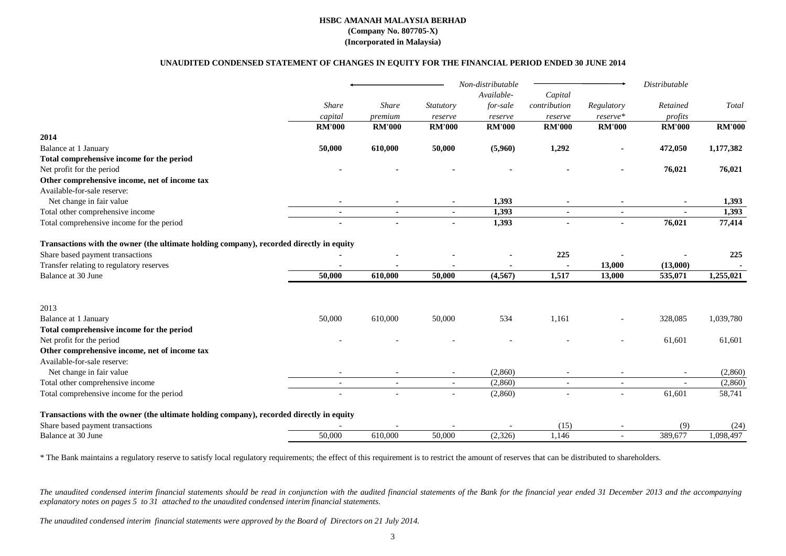|                                                                                                                                                                                                  |                          |                |                  | Non-distributable |               |                          | Distributable |               |
|--------------------------------------------------------------------------------------------------------------------------------------------------------------------------------------------------|--------------------------|----------------|------------------|-------------------|---------------|--------------------------|---------------|---------------|
|                                                                                                                                                                                                  |                          |                |                  | Available-        | Capital       |                          |               |               |
|                                                                                                                                                                                                  | Share                    | <b>Share</b>   | <b>Statutory</b> | for-sale          | contribution  | Regulatory               | Retained      | Total         |
|                                                                                                                                                                                                  | capital                  | premium        | reserve          | reserve           | reserve       | reserve*                 | profits       |               |
|                                                                                                                                                                                                  | <b>RM'000</b>            | <b>RM'000</b>  | <b>RM'000</b>    | <b>RM'000</b>     | <b>RM'000</b> | <b>RM'000</b>            | <b>RM'000</b> | <b>RM'000</b> |
| 2014                                                                                                                                                                                             |                          |                |                  |                   |               |                          |               |               |
| Balance at 1 January                                                                                                                                                                             | 50,000                   | 610,000        | 50,000           | (5,960)           | 1,292         |                          | 472,050       | 1,177,382     |
| Total comprehensive income for the period                                                                                                                                                        |                          |                |                  |                   |               |                          |               |               |
| Net profit for the period                                                                                                                                                                        |                          |                |                  |                   |               |                          | 76,021        | 76,021        |
| Other comprehensive income, net of income tax                                                                                                                                                    |                          |                |                  |                   |               |                          |               |               |
| Available-for-sale reserve:                                                                                                                                                                      |                          |                |                  |                   |               |                          |               |               |
| Net change in fair value                                                                                                                                                                         |                          |                |                  | 1,393             |               |                          | $\sim$        | 1,393         |
| Total other comprehensive income                                                                                                                                                                 | $\sim$                   | $\blacksquare$ | $\sim$           | 1,393             | $\sim$        | $\blacksquare$           | $\sim$        | 1,393         |
| Total comprehensive income for the period                                                                                                                                                        | $\blacksquare$           |                | $\sim$           | 1,393             |               | $\blacksquare$           | 76,021        | 77,414        |
| Transactions with the owner (the ultimate holding company), recorded directly in equity                                                                                                          |                          |                |                  |                   |               |                          |               |               |
| Share based payment transactions                                                                                                                                                                 |                          |                |                  |                   | 225           |                          |               | 225           |
| Transfer relating to regulatory reserves                                                                                                                                                         |                          |                |                  |                   |               | 13,000                   | (13,000)      |               |
| Balance at 30 June                                                                                                                                                                               | 50,000                   | 610,000        | 50,000           | (4,567)           | 1,517         | 13,000                   | 535,071       | 1,255,021     |
|                                                                                                                                                                                                  |                          |                |                  |                   |               |                          |               |               |
| 2013                                                                                                                                                                                             |                          |                |                  |                   |               |                          |               |               |
| Balance at 1 January                                                                                                                                                                             | 50,000                   | 610,000        | 50,000           | 534               | 1,161         |                          | 328,085       | 1,039,780     |
| Total comprehensive income for the period                                                                                                                                                        |                          |                |                  |                   |               |                          |               |               |
| Net profit for the period                                                                                                                                                                        |                          |                |                  |                   |               |                          | 61,601        | 61,601        |
| Other comprehensive income, net of income tax                                                                                                                                                    |                          |                |                  |                   |               |                          |               |               |
| Available-for-sale reserve:                                                                                                                                                                      |                          |                |                  |                   |               |                          |               |               |
| Net change in fair value                                                                                                                                                                         |                          |                |                  | (2,860)           |               |                          |               | (2,860)       |
| Total other comprehensive income                                                                                                                                                                 | $\overline{\phantom{a}}$ |                |                  | (2,860)           |               |                          |               | (2,860)       |
| Total comprehensive income for the period                                                                                                                                                        |                          |                |                  | (2,860)           |               |                          | 61,601        | 58,741        |
| Transactions with the owner (the ultimate holding company), recorded directly in equity                                                                                                          |                          |                |                  |                   |               |                          |               |               |
| Share based payment transactions                                                                                                                                                                 |                          |                |                  |                   | (15)          |                          | (9)           | (24)          |
| Balance at 30 June                                                                                                                                                                               | 50,000                   | 610,000        | 50,000           | (2,326)           | 1,146         | $\overline{\phantom{a}}$ | 389,677       | 1,098,497     |
| * The Bank maintains a regulatory reserve to satisfy local regulatory requirements: the effect of this requirement is to restrict the amount of reserves that can be distributed to shareholders |                          |                |                  |                   |               |                          |               |               |

The Bank maintains a regulatory reserve to satisfy local regulatory requirements; the effect of this requirement is to restrict the amount of reserves that can be distributed to shareholders.

The unaudited condensed interim financial statements should be read in conjunction with the audited financial statements of the Bank for the financial year ended 31 December 2013 and the accompanying *explanatory notes on pages 5 to 31 attached to the unaudited condensed interim financial statements.*

## **HSBC AMANAH MALAYSIA BERHAD (Company No. 807705-X)**

## **(Incorporated in Malaysia)**

## **UNAUDITED CONDENSED STATEMENT OF CHANGES IN EQUITY FOR THE FINANCIAL PERIOD ENDED 30 JUNE 2014**

*The unaudited condensed interim financial statements were approved by the Board of Directors on 21 July 2014.*

| ٦ |   |  |
|---|---|--|
|   | ٠ |  |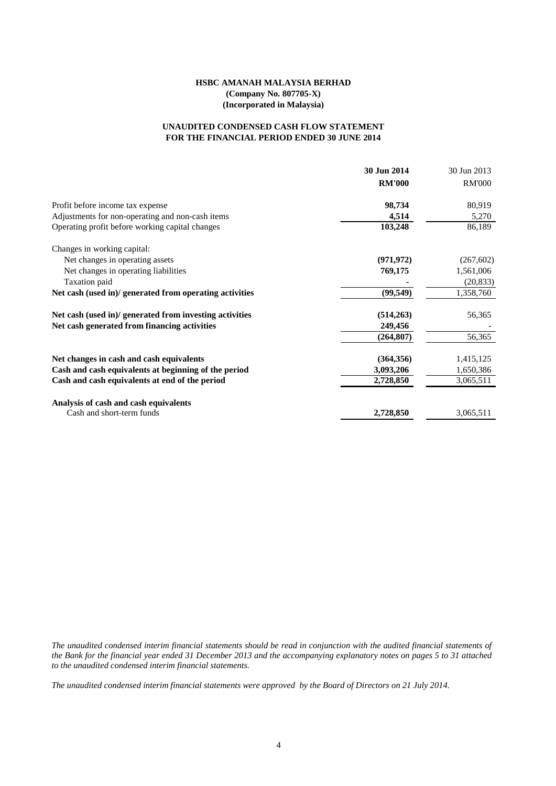## **FOR THE FINANCIAL PERIOD ENDED 30 JUNE 2014 UNAUDITED CONDENSED CASH FLOW STATEMENT**

|                                                         | 30 Jun 2014   | 30 Jun 2013   |
|---------------------------------------------------------|---------------|---------------|
|                                                         | <b>RM'000</b> | <b>RM'000</b> |
| Profit before income tax expense                        | 98,734        | 80,919        |
| Adjustments for non-operating and non-cash items        | 4,514         | 5,270         |
| Operating profit before working capital changes         | 103,248       | 86,189        |
| Changes in working capital:                             |               |               |
| Net changes in operating assets                         | (971, 972)    | (267, 602)    |
| Net changes in operating liabilities                    | 769,175       | 1,561,006     |
| Taxation paid                                           |               | (20, 833)     |
| Net cash (used in)/ generated from operating activities | (99, 549)     | 1,358,760     |
| Net cash (used in)/ generated from investing activities | (514, 263)    | 56,365        |
| Net cash generated from financing activities            | 249,456       |               |
|                                                         | (264, 807)    | 56,365        |
| Net changes in cash and cash equivalents                | (364, 356)    | 1,415,125     |
| Cash and cash equivalents at beginning of the period    | 3,093,206     | 1,650,386     |
| Cash and cash equivalents at end of the period          | 2,728,850     | 3,065,511     |
| Analysis of cash and cash equivalents                   |               |               |
| Cash and short-term funds                               | 2,728,850     | 3,065,511     |

The unaudited condensed interim financial statements should be read in conjunction with the audited financial statements of the Bank for the financial year ended 31 December 2013 and the accompanying explanatory notes on pages 5 to 31 attached *to the unaudited condensed interim financial statements.*

*The unaudited condensed interim financial statements were approved by the Board of Directors on 21 July 2014.*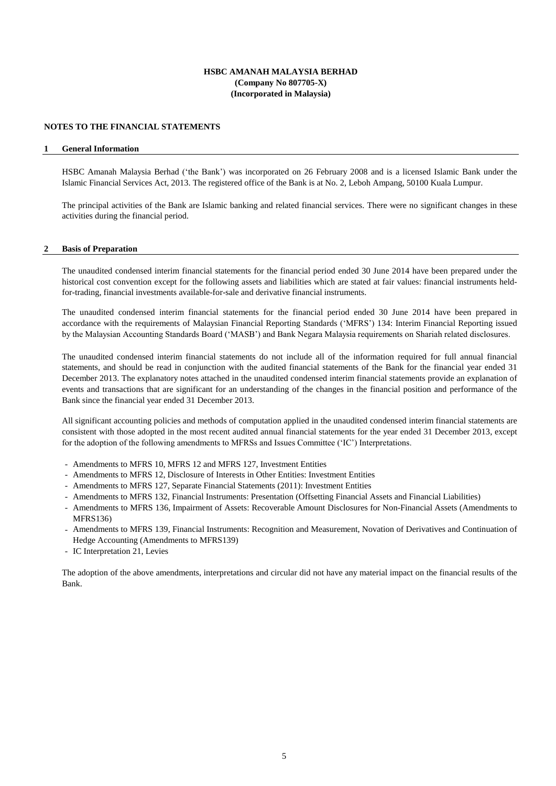## **NOTES TO THE FINANCIAL STATEMENTS**

#### **1 General Information**

HSBC Amanah Malaysia Berhad ('the Bank') was incorporated on 26 February 2008 and is a licensed Islamic Bank under the Islamic Financial Services Act, 2013. The registered office of the Bank is at No. 2, Leboh Ampang, 50100 Kuala Lumpur.

The principal activities of the Bank are Islamic banking and related financial services. There were no significant changes in these activities during the financial period.

#### **2 Basis of Preparation**

The unaudited condensed interim financial statements for the financial period ended 30 June 2014 have been prepared under the historical cost convention except for the following assets and liabilities which are stated at fair values: financial instruments heldfor-trading, financial investments available-for-sale and derivative financial instruments.

The unaudited condensed interim financial statements for the financial period ended 30 June 2014 have been prepared in accordance with the requirements of Malaysian Financial Reporting Standards ('MFRS') 134: Interim Financial Reporting issued by the Malaysian Accounting Standards Board ('MASB') and Bank Negara Malaysia requirements on Shariah related disclosures.

The unaudited condensed interim financial statements do not include all of the information required for full annual financial statements, and should be read in conjunction with the audited financial statements of the Bank for the financial year ended 31 December 2013. The explanatory notes attached in the unaudited condensed interim financial statements provide an explanation of events and transactions that are significant for an understanding of the changes in the financial position and performance of the Bank since the financial year ended 31 December 2013.

All significant accounting policies and methods of computation applied in the unaudited condensed interim financial statements are consistent with those adopted in the most recent audited annual financial statements for the year ended 31 December 2013, except for the adoption of the following amendments to MFRSs and Issues Committee ('IC') Interpretations.

- Amendments to MFRS 10, MFRS 12 and MFRS 127, Investment Entities
- Amendments to MFRS 12, Disclosure of Interests in Other Entities: Investment Entities
- Amendments to MFRS 127, Separate Financial Statements (2011): Investment Entities
- Amendments to MFRS 132, Financial Instruments: Presentation (Offsetting Financial Assets and Financial Liabilities)
- Amendments to MFRS 136, Impairment of Assets: Recoverable Amount Disclosures for Non-Financial Assets (Amendments to MFRS136)
- Amendments to MFRS 139, Financial Instruments: Recognition and Measurement, Novation of Derivatives and Continuation of Hedge Accounting (Amendments to MFRS139)
- IC Interpretation 21, Levies

The adoption of the above amendments, interpretations and circular did not have any material impact on the financial results of the Bank.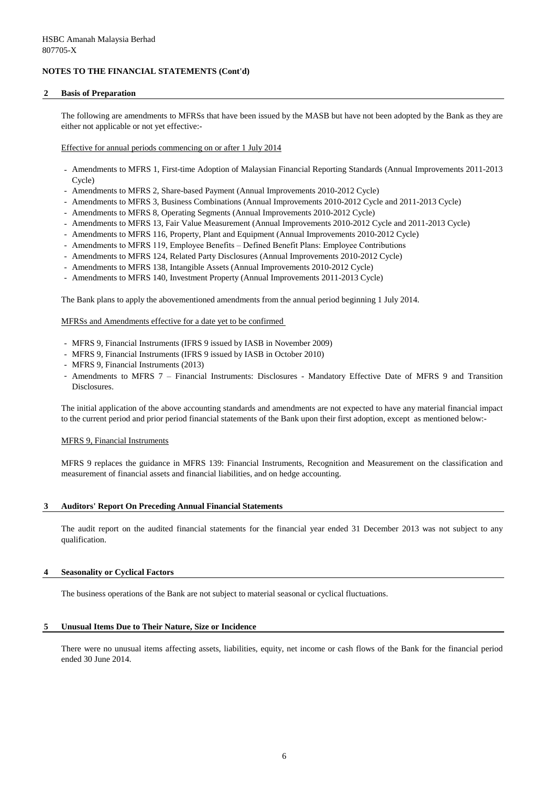## **2 Basis of Preparation**

The following are amendments to MFRSs that have been issued by the MASB but have not been adopted by the Bank as they are either not applicable or not yet effective:-

Effective for annual periods commencing on or after 1 July 2014

- Amendments to MFRS 1, First-time Adoption of Malaysian Financial Reporting Standards (Annual Improvements 2011-2013 Cycle)
- Amendments to MFRS 2, Share-based Payment (Annual Improvements 2010-2012 Cycle)
- Amendments to MFRS 3, Business Combinations (Annual Improvements 2010-2012 Cycle and 2011-2013 Cycle)
- Amendments to MFRS 8, Operating Segments (Annual Improvements 2010-2012 Cycle)
- Amendments to MFRS 13, Fair Value Measurement (Annual Improvements 2010-2012 Cycle and 2011-2013 Cycle)
- Amendments to MFRS 116, Property, Plant and Equipment (Annual Improvements 2010-2012 Cycle)
- Amendments to MFRS 119, Employee Benefits Defined Benefit Plans: Employee Contributions
- Amendments to MFRS 124, Related Party Disclosures (Annual Improvements 2010-2012 Cycle)
- Amendments to MFRS 138, Intangible Assets (Annual Improvements 2010-2012 Cycle)
- Amendments to MFRS 140, Investment Property (Annual Improvements 2011-2013 Cycle)

The Bank plans to apply the abovementioned amendments from the annual period beginning 1 July 2014.

#### MFRSs and Amendments effective for a date yet to be confirmed

- MFRS 9, Financial Instruments (IFRS 9 issued by IASB in November 2009)
- MFRS 9, Financial Instruments (IFRS 9 issued by IASB in October 2010)
- MFRS 9, Financial Instruments (2013)
- Amendments to MFRS 7 Financial Instruments: Disclosures Mandatory Effective Date of MFRS 9 and Transition Disclosures.

The initial application of the above accounting standards and amendments are not expected to have any material financial impact to the current period and prior period financial statements of the Bank upon their first adoption, except as mentioned below:-

#### MFRS 9, Financial Instruments

MFRS 9 replaces the guidance in MFRS 139: Financial Instruments, Recognition and Measurement on the classification and measurement of financial assets and financial liabilities, and on hedge accounting.

## **3 Auditors' Report On Preceding Annual Financial Statements**

The audit report on the audited financial statements for the financial year ended 31 December 2013 was not subject to any qualification.

#### **4 Seasonality or Cyclical Factors**

The business operations of the Bank are not subject to material seasonal or cyclical fluctuations.

#### **5 Unusual Items Due to Their Nature, Size or Incidence**

There were no unusual items affecting assets, liabilities, equity, net income or cash flows of the Bank for the financial period ended 30 June 2014.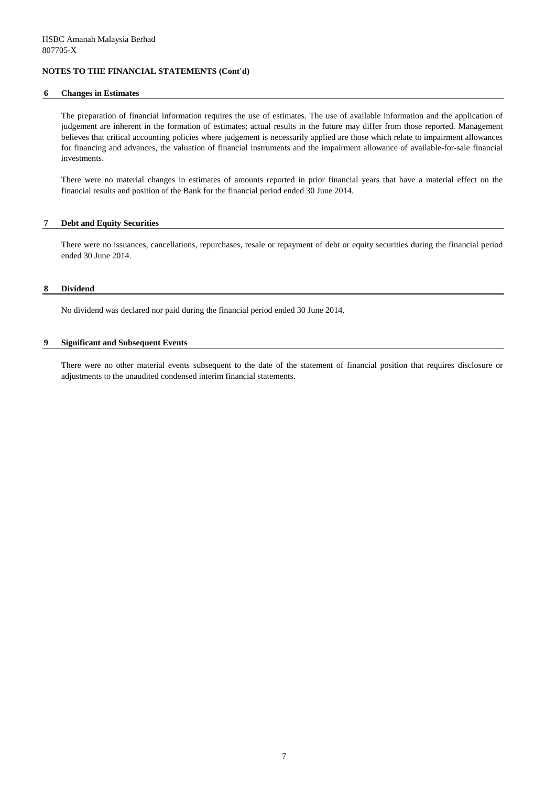#### **6 Changes in Estimates**

The preparation of financial information requires the use of estimates. The use of available information and the application of judgement are inherent in the formation of estimates; actual results in the future may differ from those reported. Management believes that critical accounting policies where judgement is necessarily applied are those which relate to impairment allowances for financing and advances, the valuation of financial instruments and the impairment allowance of available-for-sale financial investments.

There were no material changes in estimates of amounts reported in prior financial years that have a material effect on the financial results and position of the Bank for the financial period ended 30 June 2014.

#### **7 Debt and Equity Securities**

There were no issuances, cancellations, repurchases, resale or repayment of debt or equity securities during the financial period ended 30 June 2014.

#### **8 Dividend**

No dividend was declared nor paid during the financial period ended 30 June 2014.

#### **9 Significant and Subsequent Events**

There were no other material events subsequent to the date of the statement of financial position that requires disclosure or adjustments to the unaudited condensed interim financial statements.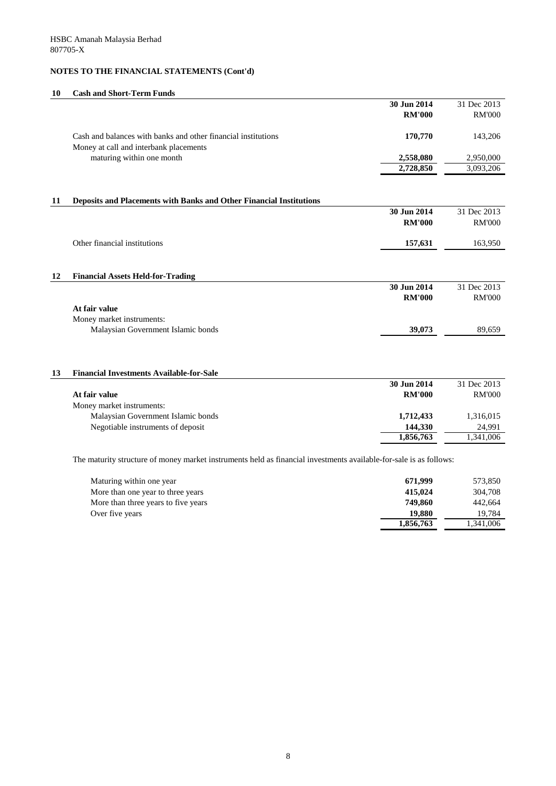## **10 Cash and Short-Term Funds**

|    |                                                                                                         | 30 Jun 2014   | 31 Dec 2013            |
|----|---------------------------------------------------------------------------------------------------------|---------------|------------------------|
|    |                                                                                                         | <b>RM'000</b> | <b>RM'000</b>          |
|    | Cash and balances with banks and other financial institutions<br>Money at call and interbank placements | 170,770       | 143,206                |
|    | maturing within one month                                                                               | 2,558,080     | 2,950,000              |
|    |                                                                                                         | 2,728,850     | 3,093,206              |
|    |                                                                                                         |               |                        |
| 11 | Deposits and Placements with Banks and Other Financial Institutions                                     |               |                        |
|    |                                                                                                         | 30 Jun 2014   | 31 Dec 2013            |
|    |                                                                                                         | <b>RM'000</b> | <b>RM'000</b>          |
|    | Other financial institutions                                                                            | 157,631       | 163,950                |
|    |                                                                                                         |               |                        |
| 12 | <b>Financial Assets Held-for-Trading</b>                                                                |               |                        |
|    |                                                                                                         | 30 Jun 2014   | 31 Dec 2013            |
|    |                                                                                                         | <b>RM'000</b> | <b>RM'000</b>          |
|    | At fair value                                                                                           |               |                        |
|    | Money market instruments:                                                                               |               |                        |
|    | Malaysian Government Islamic bonds                                                                      | 39,073        | 89,659                 |
|    |                                                                                                         |               |                        |
| 13 | <b>Financial Investments Available-for-Sale</b>                                                         |               |                        |
|    |                                                                                                         | 30 Jun 2014   | 31 Dec 2013            |
|    | At fair value                                                                                           | <b>RM'000</b> | <b>RM'000</b>          |
|    | Money market instruments:                                                                               |               |                        |
|    | Malaysian Government Islamic bonds                                                                      | 1,712,433     | 1,316,015              |
|    | Negotiable instruments of deposit                                                                       | 144,330       | 24,991                 |
|    |                                                                                                         | 1,856,763     | $\overline{1,341,006}$ |
|    |                                                                                                         |               |                        |

The maturity structure of money market instruments held as financial investments available-for-sale is as follows:

| Maturing within one year            | 671,999   | 573,850   |
|-------------------------------------|-----------|-----------|
| More than one year to three years   | 415,024   | 304,708   |
| More than three years to five years | 749,860   | 442,664   |
| Over five years                     | 19,880    | 19.784    |
|                                     | 1,856,763 | 1,341,006 |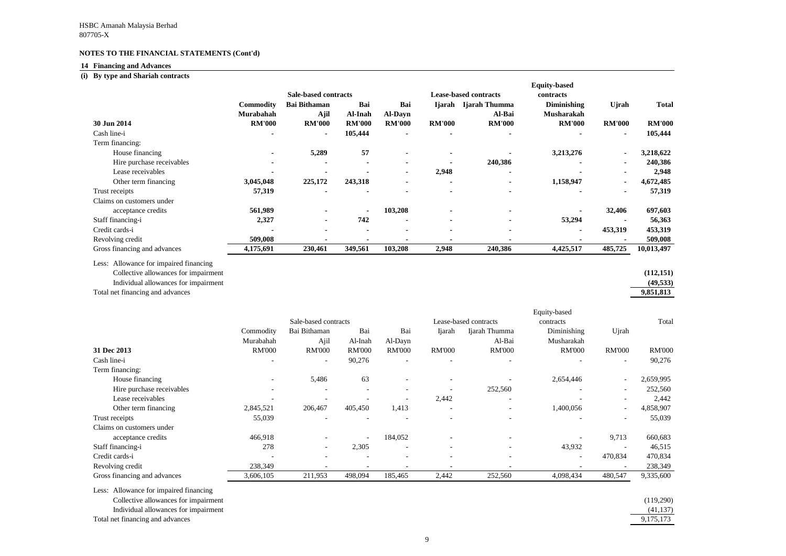## **14 Financing and Advances**

## **(i) By type and Shariah contracts**

Less: Allowance for impaired financing Collective allowances for impairment Individual allowances for impairment **(49,533)**

Total net financing and advances

| Dy type and bilarian commatis             |                                |                           |                           |                |                              | <b>Equity-based</b> |                |               |
|-------------------------------------------|--------------------------------|---------------------------|---------------------------|----------------|------------------------------|---------------------|----------------|---------------|
|                                           | <b>Sale-based contracts</b>    |                           |                           |                | <b>Lease-based contracts</b> | contracts           |                |               |
| <b>Commodity</b>                          | <b>Bai Bithaman</b>            | Bai                       | Bai                       | Ijarah         | Ijarah Thumma                | <b>Diminishing</b>  | Ujrah          | Total         |
| Murabahah                                 |                                | Ajil<br>Al-Inah           | <b>Al-Dayn</b>            |                | Al-Bai                       | <b>Musharakah</b>   |                |               |
| 30 Jun 2014                               | <b>RM'000</b><br><b>RM'000</b> | <b>RM'000</b>             | <b>RM'000</b>             | <b>RM'000</b>  | <b>RM'000</b>                | <b>RM'000</b>       | <b>RM'000</b>  | <b>RM'000</b> |
| Cash line-i                               |                                | 105,444<br>$\blacksquare$ |                           |                |                              |                     | $\blacksquare$ | 105,444       |
| Term financing:                           |                                |                           |                           |                |                              |                     |                |               |
| House financing                           |                                | 5,289                     | 57<br>$\blacksquare$      |                |                              | 3,213,276           | $\blacksquare$ | 3,218,622     |
| Hire purchase receivables                 | $\blacksquare$                 |                           | $\blacksquare$            |                | 240,386                      |                     | $\blacksquare$ | 240,386       |
| Lease receivables                         |                                |                           | $\blacksquare$            | 2,948          |                              |                     |                | 2,948         |
| 3,045,048<br>Other term financing         | 225,172                        | 243,318                   |                           |                |                              | 1,158,947           |                | 4,672,485     |
| 57,319<br>Trust receipts                  |                                |                           | $\blacksquare$            |                |                              |                     |                | 57,319        |
| Claims on customers under                 |                                |                           |                           |                |                              |                     |                |               |
| 561,989<br>acceptance credits             |                                |                           | 103,208<br>$\blacksquare$ |                |                              |                     | 32,406         | 697,603       |
| Staff financing-i                         | 2,327                          | 742<br>$\blacksquare$     | $\overline{\phantom{a}}$  | $\blacksquare$ |                              | 53,294              |                | 56,363        |
| Credit cards-i                            |                                |                           | $\blacksquare$            | $\blacksquare$ |                              |                     | 453,319        | 453,319       |
| 509,008<br>Revolving credit               |                                |                           |                           |                |                              |                     |                | 509,008       |
| Gross financing and advances<br>4,175,691 | 230,461                        | 349,561                   | 103,208                   | 2,948          | 240,386                      | 4,425,517           | 485,725        | 10,013,497    |

| uity-based                                |               |               |
|-------------------------------------------|---------------|---------------|
| contracts                                 |               |               |
| <b>Diminishing</b>                        | <b>U</b> jrah | <b>Total</b>  |
| <b>Musharakah</b>                         |               |               |
| <b>RM'000</b>                             | <b>RM'000</b> | <b>RM'000</b> |
|                                           |               | 105,444       |
|                                           |               |               |
| 3,213,276                                 |               | 3,218,622     |
|                                           |               | 240,386       |
|                                           |               | 2,948         |
| 1,158,947                                 |               | 4,672,485     |
|                                           |               | 57,319        |
|                                           |               |               |
|                                           | 32,406        | 697,603       |
| 53,294                                    |               | 56,363        |
|                                           | 453,319       | 453,319       |
|                                           |               | 509,008       |
| 4,425,517                                 | 485,725       | 10,013,497    |
|                                           |               |               |
|                                           |               | (112, 151)    |
|                                           |               | (49, 533)     |
|                                           |               | 9,851,813     |
|                                           |               |               |
|                                           |               |               |
|                                           |               |               |
|                                           |               | Total         |
|                                           |               |               |
| Diminishing<br>Musharakah                 | Ujrah         |               |
|                                           |               |               |
| quity-based<br>contracts<br><b>RM'000</b> | RM'000        | <b>RM'000</b> |
|                                           |               | 90,276        |
| 2,654,446                                 |               | 2,659,995     |
|                                           |               | 252,560       |
|                                           |               | 2,442         |
| 1,400,056                                 |               | 4,858,907     |
|                                           |               | 55,039        |
|                                           |               |               |
|                                           | 9,713         | 660,683       |
| 43,932                                    |               | 46,515        |
|                                           | 470,834       | 470,834       |
|                                           |               | 238,349       |
| 4,098,434                                 | 480,547       | 9,335,600     |
|                                           |               |               |

| (41, 137)   |
|-------------|
| 9, 175, 173 |

|                              |               |                          |                          |                          |                          |                       | Equity-based             |                          |               |
|------------------------------|---------------|--------------------------|--------------------------|--------------------------|--------------------------|-----------------------|--------------------------|--------------------------|---------------|
|                              |               | Sale-based contracts     |                          |                          |                          | Lease-based contracts | contracts                |                          | Total         |
|                              | Commodity     | Bai Bithaman             | Bai                      | Bai                      | Ijarah                   | Ijarah Thumma         | Diminishing              | Ujrah                    |               |
|                              | Murabahah     | Ajil                     | Al-Inah                  | Al-Dayn                  |                          | Al-Bai                | Musharakah               |                          |               |
| 31 Dec 2013                  | <b>RM'000</b> | <b>RM'000</b>            | <b>RM'000</b>            | <b>RM'000</b>            | <b>RM'000</b>            | <b>RM'000</b>         | <b>RM'000</b>            | <b>RM'000</b>            | <b>RM'000</b> |
| Cash line-i                  |               | $\overline{\phantom{0}}$ | 90,276                   | ۰                        |                          |                       |                          | $\overline{\phantom{a}}$ | 90,276        |
| Term financing:              |               |                          |                          |                          |                          |                       |                          |                          |               |
| House financing              |               | 5,486                    | 63                       | $\overline{\phantom{a}}$ |                          |                       | 2,654,446                | $\sim$                   | 2,659,995     |
| Hire purchase receivables    |               | $\overline{\phantom{a}}$ | $\overline{\phantom{a}}$ | $\overline{\phantom{a}}$ | $\overline{\phantom{0}}$ | 252,560               |                          | $\overline{\phantom{a}}$ | 252,560       |
| Lease receivables            |               |                          |                          | $\overline{\phantom{a}}$ | 2,442                    |                       |                          |                          | 2,442         |
| Other term financing         | 2,845,521     | 206,467                  | 405,450                  | 1,413                    | $\overline{\phantom{a}}$ |                       | 1,400,056                | $\overline{\phantom{a}}$ | 4,858,907     |
| Trust receipts               | 55,039        |                          |                          |                          |                          |                       |                          |                          | 55,039        |
| Claims on customers under    |               |                          |                          |                          |                          |                       |                          |                          |               |
| acceptance credits           | 466,918       |                          | $\overline{\phantom{a}}$ | 184,052                  |                          |                       |                          | 9,713                    | 660,683       |
| Staff financing-i            | 278           |                          | 2,305                    | $\overline{\phantom{a}}$ |                          |                       | 43,932                   |                          | 46,515        |
| Credit cards-i               |               |                          |                          | $\overline{\phantom{a}}$ | $\overline{\phantom{0}}$ |                       | $\overline{\phantom{a}}$ | 470,834                  | 470,834       |
| Revolving credit             | 238,349       |                          |                          |                          |                          |                       |                          |                          | 238,349       |
| Gross financing and advances | 3,606,105     | 211,953                  | 498,094                  | 185,465                  | 2,442                    | 252,560               | 4,098,434                | 480,547                  | 9,335,600     |

Less: Allowance for impaired financing

Collective allowances for impairment

Individual allowances for impairment  $\overline{a}$ 

Total net financing and advances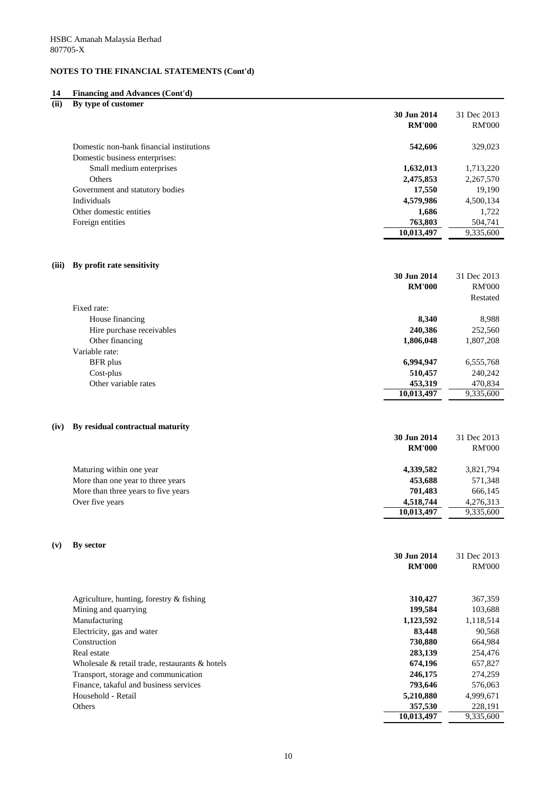#### **14 Financing and Advances (Cont'd)**

| (ii) | By type of customer                      |               |               |
|------|------------------------------------------|---------------|---------------|
|      |                                          | 30 Jun 2014   | 31 Dec 2013   |
|      |                                          | <b>RM'000</b> | <b>RM'000</b> |
|      | Domestic non-bank financial institutions | 542,606       | 329,023       |
|      | Domestic business enterprises:           |               |               |
|      | Small medium enterprises                 | 1,632,013     | 1,713,220     |
|      | Others                                   | 2,475,853     | 2,267,570     |
|      | Government and statutory bodies          | 17,550        | 19,190        |
|      | Individuals                              | 4,579,986     | 4,500,134     |
|      | Other domestic entities                  | 1,686         | 1,722         |
|      | Foreign entities                         | 763,803       | 504,741       |
|      |                                          | 10,013,497    | 9,335,600     |

<u> 1980 - Johann Barbara, martxa amerikan per</u>

#### **(iii) By profit rate sensitivity**

|                           | 30 Jun 2014   | 31 Dec 2013   |
|---------------------------|---------------|---------------|
|                           | <b>RM'000</b> | <b>RM'000</b> |
|                           |               | Restated      |
| Fixed rate:               |               |               |
| House financing           | 8,340         | 8,988         |
| Hire purchase receivables | 240,386       | 252,560       |
| Other financing           | 1,806,048     | 1,807,208     |
| Variable rate:            |               |               |
| BFR plus                  | 6,994,947     | 6,555,768     |
| $Cost$ -plus              | 510,457       | 240,242       |
| Other variable rates      | 453,319       | 470,834       |
|                           | 10,013,497    | 9,335,600     |

### **(iv) By residual contractual maturity**

|                                     | 30 Jun 2014   | 31 Dec 2013   |
|-------------------------------------|---------------|---------------|
|                                     | <b>RM'000</b> | <b>RM'000</b> |
| Maturing within one year            | 4,339,582     | 3,821,794     |
| More than one year to three years   | 453,688       | 571,348       |
| More than three years to five years | 701,483       | 666,145       |
| Over five years                     | 4,518,744     | 4,276,313     |
|                                     | 10,013,497    | 9,335,600     |

## **(v) By sector**

|                                                      | 30 Jun 2014   | 31 Dec 2013   |
|------------------------------------------------------|---------------|---------------|
|                                                      | <b>RM'000</b> | <b>RM'000</b> |
| Agriculture, hunting, forestry $\&$ fishing          | 310,427       | 367,359       |
| Mining and quarrying                                 | 199,584       | 103,688       |
| Manufacturing                                        | 1,123,592     | 1,118,514     |
| Electricity, gas and water                           | 83,448        | 90,568        |
| Construction                                         | 730,880       | 664,984       |
| Real estate                                          | 283,139       | 254,476       |
| Wholesale $\&$ retail trade, restaurants $\&$ hotels | 674,196       | 657,827       |
| Transport, storage and communication                 | 246,175       | 274,259       |
| Finance, takaful and business services               | 793,646       | 576,063       |
| Household - Retail                                   | 5,210,880     | 4,999,671     |
| Others                                               | 357,530       | 228,191       |
|                                                      | 10,013,497    | 9,335,600     |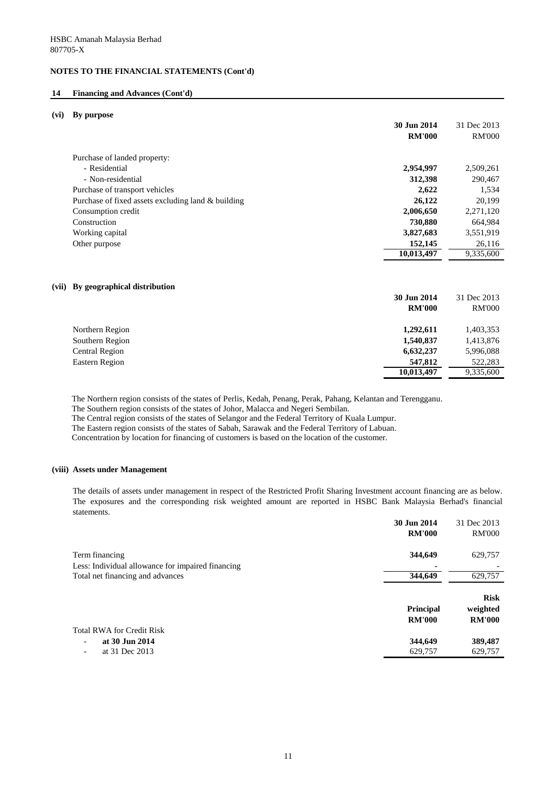#### **14 Financing and Advances (Cont'd)**

#### **(vi) By purpose**

|                                                    | 30 Jun 2014<br><b>RM'000</b> | 31 Dec 2013<br><b>RM'000</b> |
|----------------------------------------------------|------------------------------|------------------------------|
| Purchase of landed property:                       |                              |                              |
| - Residential                                      | 2,954,997                    | 2,509,261                    |
| - Non-residential                                  | 312,398                      | 290,467                      |
| Purchase of transport vehicles                     | 2,622                        | 1,534                        |
| Purchase of fixed assets excluding land & building | 26,122                       | 20,199                       |
| Consumption credit                                 | 2,006,650                    | 2,271,120                    |
| Construction                                       | 730,880                      | 664,984                      |
| Working capital                                    | 3,827,683                    | 3,551,919                    |
| Other purpose                                      | 152,145                      | 26,116                       |
|                                                    | 10,013,497                   | 9,335,600                    |

## **(vii) By geographical distribution**

|                       | 30 Jun 2014   | 31 Dec 2013   |
|-----------------------|---------------|---------------|
|                       | <b>RM'000</b> | <b>RM'000</b> |
| Northern Region       | 1,292,611     | 1,403,353     |
| Southern Region       | 1,540,837     | 1,413,876     |
| <b>Central Region</b> | 6,632,237     | 5,996,088     |
| Eastern Region        | 547,812       | 522,283       |
|                       | 10,013,497    | 9,335,600     |

The Northern region consists of the states of Perlis, Kedah, Penang, Perak, Pahang, Kelantan and Terengganu.

The Southern region consists of the states of Johor, Malacca and Negeri Sembilan.

The Central region consists of the states of Selangor and the Federal Territory of Kuala Lumpur.

The Eastern region consists of the states of Sabah, Sarawak and the Federal Territory of Labuan.

Concentration by location for financing of customers is based on the location of the customer.

#### **(viii) Assets under Management**

The details of assets under management in respect of the Restricted Profit Sharing Investment account financing are as below. The exposures and the corresponding risk weighted amount are reported in HSBC Bank Malaysia Berhad's financial statements.

|                                                   | 30 Jun 2014<br><b>RM'000</b>      | 31 Dec 2013<br><b>RM'000</b>             |
|---------------------------------------------------|-----------------------------------|------------------------------------------|
| Term financing                                    | 344,649                           | 629,757                                  |
| Less: Individual allowance for impaired financing |                                   |                                          |
| Total net financing and advances                  | 344,649                           | 629,757                                  |
|                                                   | <b>Principal</b><br><b>RM'000</b> | <b>Risk</b><br>weighted<br><b>RM'000</b> |
| <b>Total RWA for Credit Risk</b>                  |                                   |                                          |
| at 30 Jun 2014<br>-                               | 344,649                           | 389,487                                  |
| at 31 Dec 2013<br>Ξ.                              | 629,757                           | 629,757                                  |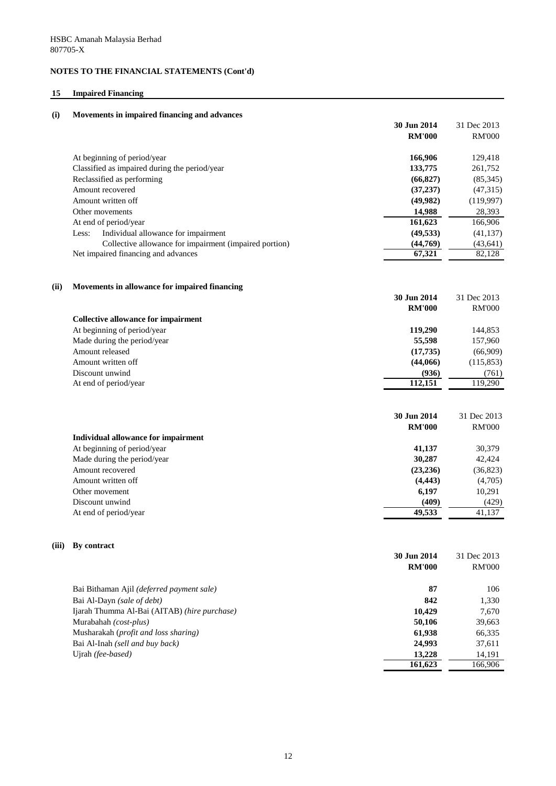## **15 Impaired Financing**

| (i)   | Movements in impaired financing and advances           |                              |                              |
|-------|--------------------------------------------------------|------------------------------|------------------------------|
|       |                                                        | 30 Jun 2014                  | 31 Dec 2013                  |
|       |                                                        | <b>RM'000</b>                | <b>RM'000</b>                |
|       | At beginning of period/year                            | 166,906                      | 129,418                      |
|       | Classified as impaired during the period/year          | 133,775                      | 261,752                      |
|       | Reclassified as performing                             | (66, 827)                    | (85,345)                     |
|       | Amount recovered                                       | (37, 237)                    | (47, 315)                    |
|       | Amount written off                                     | (49,982)                     | (119,997)                    |
|       | Other movements                                        | 14,988                       | 28,393                       |
|       | At end of period/year                                  | 161,623                      | 166,906                      |
|       | Individual allowance for impairment<br>Less:           | (49, 533)                    | (41, 137)                    |
|       | Collective allowance for impairment (impaired portion) | (44,769)                     | (43, 641)                    |
|       | Net impaired financing and advances                    | 67,321                       | 82,128                       |
|       |                                                        |                              |                              |
| (ii)  | Movements in allowance for impaired financing          | 30 Jun 2014                  | 31 Dec 2013                  |
|       |                                                        | <b>RM'000</b>                | <b>RM'000</b>                |
|       | <b>Collective allowance for impairment</b>             |                              |                              |
|       | At beginning of period/year                            | 119,290                      | 144,853                      |
|       | Made during the period/year                            | 55,598                       | 157,960                      |
|       | Amount released                                        | (17, 735)                    | (66,909)                     |
|       | Amount written off                                     | (44,066)                     | (115, 853)                   |
|       | Discount unwind                                        | (936)                        | (761)                        |
|       | At end of period/year                                  | 112,151                      | 119,290                      |
|       |                                                        | 30 Jun 2014<br><b>RM'000</b> | 31 Dec 2013<br><b>RM'000</b> |
|       | <b>Individual allowance for impairment</b>             |                              |                              |
|       | At beginning of period/year                            | 41,137                       | 30,379                       |
|       | Made during the period/year                            | 30,287                       | 42,424                       |
|       | Amount recovered                                       | (23, 236)                    | (36,823)                     |
|       | Amount written off                                     | (4, 443)                     | (4,705)                      |
|       | Other movement                                         | 6,197                        | 10,291                       |
|       | Discount unwind                                        | (409)                        | (429)                        |
|       | At end of period/year                                  | 49,533                       | 41,137                       |
|       |                                                        |                              |                              |
| (iii) | By contract                                            |                              |                              |
|       |                                                        | 30 Jun 2014                  | 31 Dec 2013                  |
|       |                                                        | <b>RM'000</b>                | <b>RM'000</b>                |
|       | Bai Bithaman Ajil (deferred payment sale)              | 87                           | 106                          |
|       | Bai Al-Dayn (sale of debt)                             | 842                          | 1,330                        |
|       | Ijarah Thumma Al-Bai (AITAB) (hire purchase)           | 10,429                       | 7,670                        |
|       | Murabahah (cost-plus)                                  | 50,106                       | 39,663                       |
|       | Musharakah (profit and loss sharing)                   | 61,938                       | 66,335                       |
|       | Bai Al-Inah (sell and buy back)                        | 24,993                       | 37,611                       |

Ujrah *(fee-based)* 13,228 14,191<br>161,623 166,906

**13,228**<br>**161,623**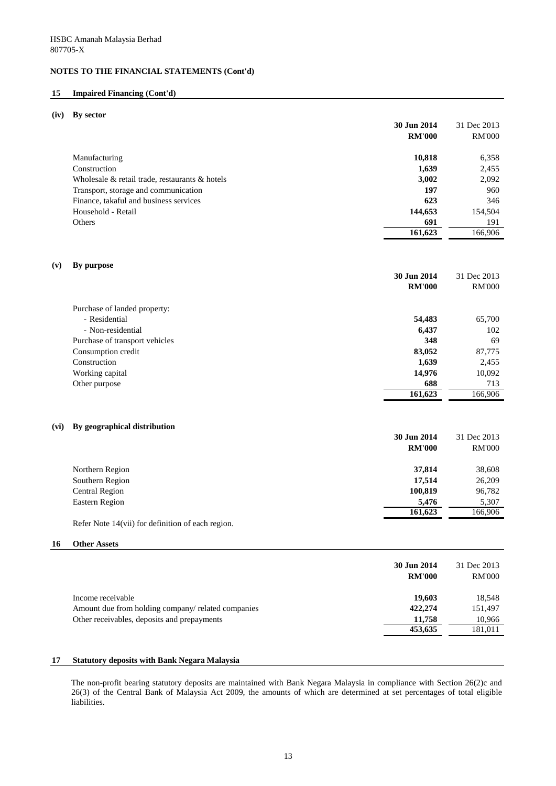## **15 Impaired Financing (Cont'd)**

#### **(iv) By sector**

| 30 Jun 2014                                          |        | 31 Dec 2013   |
|------------------------------------------------------|--------|---------------|
| <b>RM'000</b>                                        |        | <b>RM'000</b> |
| Manufacturing                                        | 10,818 | 6,358         |
| Construction                                         | 1,639  | 2,455         |
| Wholesale $\&$ retail trade, restaurants $\&$ hotels | 3,002  | 2,092         |
| Transport, storage and communication                 | 197    | 960           |
| Finance, takaful and business services               | 623    | 346           |
| 144,653<br>Household - Retail                        |        | 154,504       |
| Others                                               | 691    | 191           |
| 161,623                                              |        | 166,906       |

#### **(v) By purpose**

|                                | 30 Jun 2014<br><b>RM'000</b> | 31 Dec 2013<br><b>RM'000</b> |
|--------------------------------|------------------------------|------------------------------|
|                                |                              |                              |
| Purchase of landed property:   |                              |                              |
| - Residential                  | 54,483                       | 65,700                       |
| - Non-residential              | 6,437                        | 102                          |
| Purchase of transport vehicles | 348                          | 69                           |
| Consumption credit             | 83,052                       | 87,775                       |
| Construction                   | 1,639                        | 2,455                        |
| Working capital                | 14,976                       | 10,092                       |
| Other purpose                  | 688                          | 713                          |
|                                | 161,623                      | 166,906                      |

### **(vi) By geographical distribution**

|                       | 30 Jun 2014   | 31 Dec 2013   |
|-----------------------|---------------|---------------|
|                       | <b>RM'000</b> | <b>RM'000</b> |
| Northern Region       | 37,814        | 38,608        |
| Southern Region       | 17,514        | 26,209        |
| <b>Central Region</b> | 100,819       | 96,782        |
| Eastern Region        | 5,476         | 5,307         |
|                       | 161,623       | 166,906       |

Refer Note 14(vii) for definition of each region.

#### **16 Other Assets**

| 30 Jun 2014<br><b>RM'000</b>                                  | 31 Dec 2013<br><b>RM'000</b> |
|---------------------------------------------------------------|------------------------------|
| 19,603<br>Income receivable                                   | 18,548                       |
| 422,274<br>Amount due from holding company/ related companies | 151,497                      |
| Other receivables, deposits and prepayments<br>11,758         | 10,966                       |
| 453,635                                                       | 181,011                      |

#### **17 Statutory deposits with Bank Negara Malaysia**

The non-profit bearing statutory deposits are maintained with Bank Negara Malaysia in compliance with Section 26(2)c and 26(3) of the Central Bank of Malaysia Act 2009, the amounts of which are determined at set percentages of total eligible liabilities.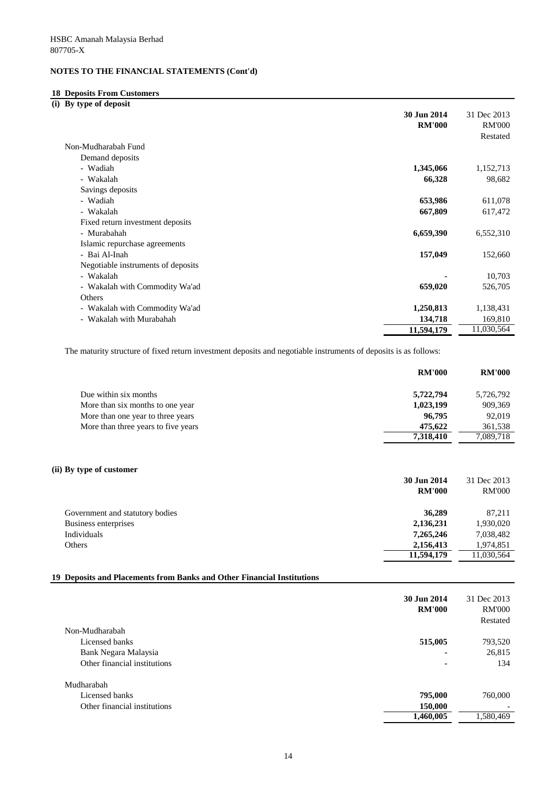## **18 Deposits From Customers**

**(i) By type of deposit**

|                                    | 30 Jun 2014   | 31 Dec 2013   |
|------------------------------------|---------------|---------------|
|                                    | <b>RM'000</b> | <b>RM'000</b> |
|                                    |               | Restated      |
| Non-Mudharabah Fund                |               |               |
| Demand deposits                    |               |               |
| - Wadiah                           | 1,345,066     | 1,152,713     |
| - Wakalah                          | 66,328        | 98,682        |
| Savings deposits                   |               |               |
| - Wadiah                           | 653,986       | 611,078       |
| - Wakalah                          | 667,809       | 617,472       |
| Fixed return investment deposits   |               |               |
| - Murabahah                        | 6,659,390     | 6,552,310     |
| Islamic repurchase agreements      |               |               |
| - Bai Al-Inah                      | 157,049       | 152,660       |
| Negotiable instruments of deposits |               |               |
| - Wakalah                          |               | 10,703        |
| - Wakalah with Commodity Wa'ad     | 659,020       | 526,705       |
| Others                             |               |               |
| - Wakalah with Commodity Wa'ad     | 1,250,813     | 1,138,431     |
| - Wakalah with Murabahah           | 134,718       | 169,810       |
|                                    | 11,594,179    | 11,030,564    |

The maturity structure of fixed return investment deposits and negotiable instruments of deposits is as follows:

|                                     | <b>RM'000</b> | <b>RM'000</b> |
|-------------------------------------|---------------|---------------|
| Due within six months               | 5,722,794     | 5,726,792     |
| More than six months to one year    | 1,023,199     | 909,369       |
| More than one year to three years   | 96,795        | 92,019        |
| More than three years to five years | 475,622       | 361,538       |
|                                     | 7,318,410     | 7,089,718     |
|                                     |               |               |

## **(ii) By type of customer**

|                                 | 30 Jun 2014   | 31 Dec 2013   |
|---------------------------------|---------------|---------------|
|                                 | <b>RM'000</b> | <b>RM'000</b> |
| Government and statutory bodies | 36,289        | 87,211        |
| Business enterprises            | 2,136,231     | 1,930,020     |
| Individuals                     | 7,265,246     | 7,038,482     |
| Others                          | 2,156,413     | 1,974,851     |
|                                 | 11,594,179    | 11,030,564    |

## **19 Deposits and Placements from Banks and Other Financial Institutions**

|                              | 30 Jun 2014<br><b>RM'000</b> | 31 Dec 2013<br><b>RM'000</b><br>Restated |
|------------------------------|------------------------------|------------------------------------------|
| Non-Mudharabah               |                              |                                          |
| Licensed banks               | 515,005                      | 793,520                                  |
| Bank Negara Malaysia         | $\blacksquare$               | 26,815                                   |
| Other financial institutions | $\blacksquare$               | 134                                      |
| Mudharabah                   |                              |                                          |
| Licensed banks               | 795,000                      | 760,000                                  |
| Other financial institutions | 150,000                      |                                          |
|                              | 1,460,005                    | 1,580,469                                |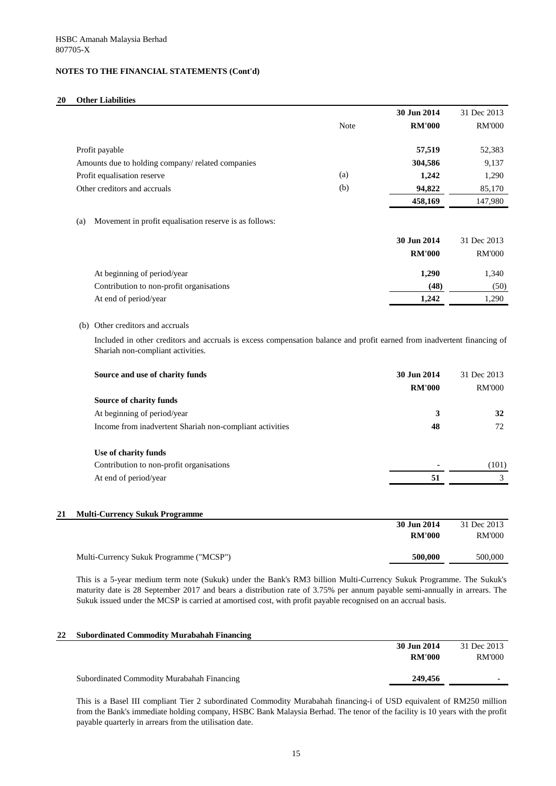## **20 Other Liabilities**

|     |                                                                                                                                                              |      | 30 Jun 2014                  | 31 Dec 2013                  |
|-----|--------------------------------------------------------------------------------------------------------------------------------------------------------------|------|------------------------------|------------------------------|
|     |                                                                                                                                                              | Note | <b>RM'000</b>                | <b>RM'000</b>                |
|     | Profit payable                                                                                                                                               |      | 57,519                       | 52,383                       |
|     | Amounts due to holding company/ related companies                                                                                                            |      | 304,586                      | 9,137                        |
|     | Profit equalisation reserve                                                                                                                                  | (a)  | 1,242                        | 1,290                        |
|     | Other creditors and accruals                                                                                                                                 | (b)  | 94,822                       | 85,170                       |
|     |                                                                                                                                                              |      | 458,169                      | 147,980                      |
| (a) | Movement in profit equalisation reserve is as follows:                                                                                                       |      |                              |                              |
|     |                                                                                                                                                              |      | 30 Jun 2014                  | 31 Dec 2013                  |
|     |                                                                                                                                                              |      | <b>RM'000</b>                | <b>RM'000</b>                |
|     | At beginning of period/year                                                                                                                                  |      | 1,290                        | 1,340                        |
|     | Contribution to non-profit organisations                                                                                                                     |      | (48)                         | (50)                         |
|     | At end of period/year                                                                                                                                        |      | 1,242                        | 1,290                        |
|     | Included in other creditors and accruals is excess compensation balance and profit earned from inadvertent financing of<br>Shariah non-compliant activities. |      |                              |                              |
|     | Source and use of charity funds                                                                                                                              |      | 30 Jun 2014<br><b>RM'000</b> | 31 Dec 2013<br><b>RM'000</b> |
|     | Source of charity funds                                                                                                                                      |      |                              |                              |
|     | At beginning of period/year                                                                                                                                  |      | 3                            | 32                           |
|     | Income from inadvertent Shariah non-compliant activities                                                                                                     |      | 48                           | 72                           |
|     | Use of charity funds                                                                                                                                         |      |                              |                              |
|     | Contribution to non-profit organisations                                                                                                                     |      |                              |                              |
|     | At end of period/year                                                                                                                                        |      | 51                           | $\mathfrak{Z}$               |
|     |                                                                                                                                                              |      |                              |                              |
|     | <b>Multi-Currency Sukuk Programme</b>                                                                                                                        |      | 30 Jun 2014                  | 31 Dec 2013                  |
|     |                                                                                                                                                              |      | <b>RM'000</b>                | <b>RM'000</b>                |
|     | Multi-Currency Sukuk Programme ("MCSP")                                                                                                                      |      | 500,000                      | (101)<br>500,000             |

This is a 5-year medium term note (Sukuk) under the Bank's RM3 billion Multi-Currency Sukuk Programme. The Sukuk's maturity date is 28 September 2017 and bears a distribution rate of 3.75% per annum payable semi-annually in arrears. The Sukuk issued under the MCSP is carried at amortised cost, with profit payable recognised on an accrual basis.

| 22 | <b>Subordinated Commodity Murabahah Financing</b> |               |             |
|----|---------------------------------------------------|---------------|-------------|
|    |                                                   | 30 Jun 2014   | 31 Dec 2013 |
|    |                                                   | <b>RM'000</b> | RM'000      |
|    |                                                   |               |             |
|    | Subordinated Commodity Murabahah Financing        | 249,456       |             |

This is a Basel III compliant Tier 2 subordinated Commodity Murabahah financing-i of USD equivalent of RM250 million from the Bank's immediate holding company, HSBC Bank Malaysia Berhad. The tenor of the facility is 10 years with the profit payable quarterly in arrears from the utilisation date.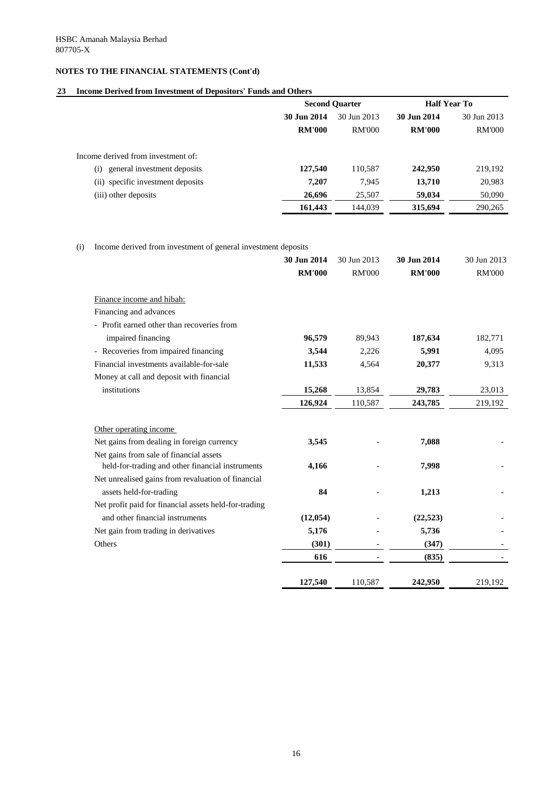## **23 Income Derived from Investment of Depositors' Funds and Others**

|                                     | <b>Second Quarter</b> |               | <b>Half Year To</b> |               |
|-------------------------------------|-----------------------|---------------|---------------------|---------------|
|                                     | 30 Jun 2014           | 30 Jun 2013   | 30 Jun 2014         | 30 Jun 2013   |
|                                     | <b>RM'000</b>         | <b>RM'000</b> | <b>RM'000</b>       | <b>RM'000</b> |
| Income derived from investment of:  |                       |               |                     |               |
| general investment deposits<br>(i)  | 127,540               | 110,587       | 242,950             | 219,192       |
| specific investment deposits<br>(i) | 7,207                 | 7,945         | 13,710              | 20,983        |
| (iii) other deposits                | 26,696                | 25,507        | 59,034              | 50,090        |
|                                     | 161,443               | 144,039       | 315,694             | 290,265       |

(i) Income derived from investment of general investment deposits

| 30 Jun 2014   | 30 Jun 2013            | 30 Jun 2014     | 30 Jun 2013               |
|---------------|------------------------|-----------------|---------------------------|
| <b>RM'000</b> | <b>RM'000</b>          | <b>RM'000</b>   | <b>RM'000</b>             |
|               |                        |                 |                           |
|               |                        |                 |                           |
|               |                        |                 |                           |
|               |                        |                 |                           |
|               |                        |                 | 182,771                   |
|               |                        |                 | 4,095                     |
| 11,533        | 4,564                  | 20,377          | 9,313                     |
|               |                        |                 |                           |
| 15,268        | 13,854                 | 29,783          | 23,013                    |
| 126,924       | 110,587                | 243,785         | 219,192                   |
|               |                        |                 |                           |
|               |                        |                 |                           |
| 3,545         |                        | 7,088           |                           |
|               |                        |                 |                           |
| 4,166         |                        | 7,998           |                           |
|               |                        |                 |                           |
| 84            |                        | 1,213           |                           |
|               |                        |                 |                           |
| (12, 054)     |                        | (22, 523)       |                           |
| 5,176         |                        | 5,736           |                           |
| (301)         |                        | (347)           |                           |
|               |                        |                 |                           |
|               |                        |                 |                           |
| 127,540       | 110,587                | 242,950         | 219,192                   |
|               | 96,579<br>3,544<br>616 | 89,943<br>2,226 | 187,634<br>5,991<br>(835) |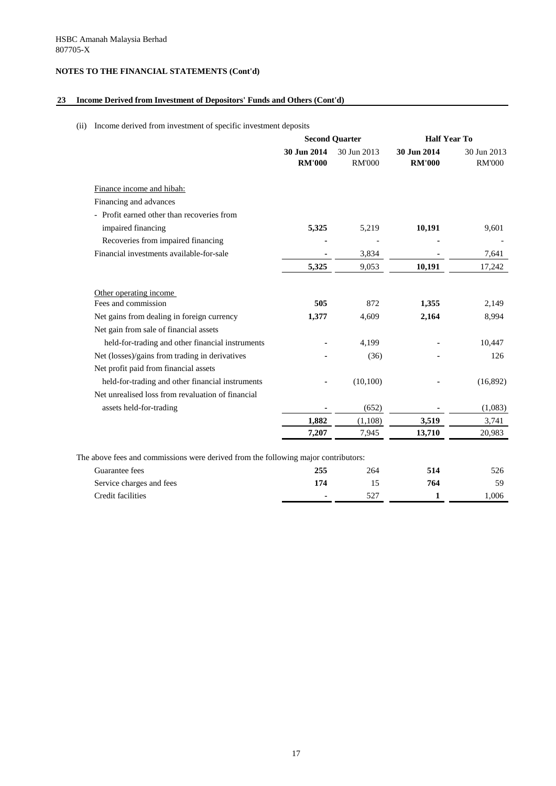## **23 Income Derived from Investment of Depositors' Funds and Others (Cont'd)**

## (ii) Income derived from investment of specific investment deposits

|                                                                                    |                              | <b>Second Quarter</b>        | <b>Half Year To</b>          |                              |
|------------------------------------------------------------------------------------|------------------------------|------------------------------|------------------------------|------------------------------|
|                                                                                    | 30 Jun 2014<br><b>RM'000</b> | 30 Jun 2013<br><b>RM'000</b> | 30 Jun 2014<br><b>RM'000</b> | 30 Jun 2013<br><b>RM'000</b> |
| Finance income and hibah:                                                          |                              |                              |                              |                              |
| Financing and advances                                                             |                              |                              |                              |                              |
| - Profit earned other than recoveries from                                         |                              |                              |                              |                              |
| impaired financing                                                                 | 5,325                        | 5,219                        | 10,191                       | 9,601                        |
| Recoveries from impaired financing                                                 |                              |                              |                              |                              |
| Financial investments available-for-sale                                           |                              | 3,834                        |                              | 7,641                        |
|                                                                                    | 5,325                        | 9,053                        | 10,191                       | 17,242                       |
| Other operating income                                                             |                              |                              |                              |                              |
| Fees and commission                                                                | 505                          | 872                          | 1,355                        | 2,149                        |
| Net gains from dealing in foreign currency                                         | 1,377                        | 4,609                        | 2,164                        | 8,994                        |
| Net gain from sale of financial assets                                             |                              |                              |                              |                              |
| held-for-trading and other financial instruments                                   |                              | 4,199                        |                              | 10,447                       |
| Net (losses)/gains from trading in derivatives                                     |                              | (36)                         |                              | 126                          |
| Net profit paid from financial assets                                              |                              |                              |                              |                              |
| held-for-trading and other financial instruments                                   |                              | (10, 100)                    |                              | (16,892)                     |
| Net unrealised loss from revaluation of financial                                  |                              |                              |                              |                              |
| assets held-for-trading                                                            |                              | (652)                        |                              | (1,083)                      |
|                                                                                    | 1,882                        | (1,108)                      | 3,519                        | 3,741                        |
|                                                                                    | 7,207                        | 7,945                        | 13,710                       | 20,983                       |
| The above fees and commissions were derived from the following major contributors: |                              |                              |                              |                              |
| Guarantee fees                                                                     | 255                          | 264                          | 514                          | 526                          |
| Service charges and fees                                                           | 174                          | 15                           | 764                          | 59                           |
| <b>Credit facilities</b>                                                           |                              | 527                          | $\mathbf{1}$                 | 1,006                        |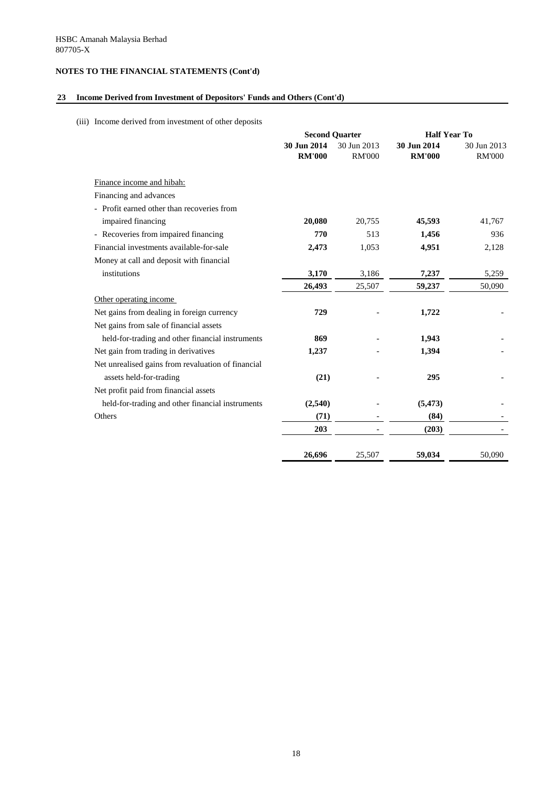## **23 Income Derived from Investment of Depositors' Funds and Others (Cont'd)**

(iii) Income derived from investment of other deposits

|                                                    |                              | <b>Second Quarter</b>        | <b>Half Year To</b>          |                              |
|----------------------------------------------------|------------------------------|------------------------------|------------------------------|------------------------------|
|                                                    | 30 Jun 2014<br><b>RM'000</b> | 30 Jun 2013<br><b>RM'000</b> | 30 Jun 2014<br><b>RM'000</b> | 30 Jun 2013<br><b>RM'000</b> |
| Finance income and hibah:                          |                              |                              |                              |                              |
| Financing and advances                             |                              |                              |                              |                              |
| - Profit earned other than recoveries from         |                              |                              |                              |                              |
| impaired financing                                 | 20,080                       | 20,755                       | 45,593                       | 41,767                       |
| - Recoveries from impaired financing               | 770                          | 513                          | 1,456                        | 936                          |
| Financial investments available-for-sale           | 2,473                        | 1,053                        | 4,951                        | 2,128                        |
| Money at call and deposit with financial           |                              |                              |                              |                              |
| institutions                                       | 3,170                        | 3,186                        | 7,237                        | 5,259                        |
|                                                    | 26,493                       | 25,507                       | 59,237                       | 50,090                       |
| Other operating income                             |                              |                              |                              |                              |
| Net gains from dealing in foreign currency         | 729                          |                              | 1,722                        |                              |
| Net gains from sale of financial assets            |                              |                              |                              |                              |
| held-for-trading and other financial instruments   | 869                          |                              | 1,943                        |                              |
| Net gain from trading in derivatives               | 1,237                        |                              | 1,394                        |                              |
| Net unrealised gains from revaluation of financial |                              |                              |                              |                              |
| assets held-for-trading                            | (21)                         |                              | 295                          |                              |
| Net profit paid from financial assets              |                              |                              |                              |                              |
| held-for-trading and other financial instruments   | (2,540)                      |                              | (5, 473)                     |                              |
| Others                                             | (71)                         |                              | (84)                         |                              |
|                                                    | 203                          |                              | (203)                        |                              |
|                                                    | 26,696                       | 25,507                       | 59,034                       | 50,090                       |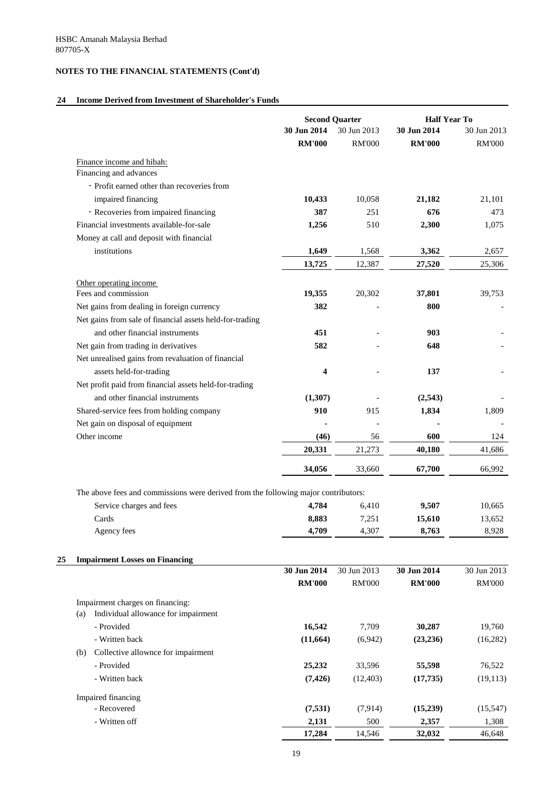## **24 Income Derived from Investment of Shareholder's Funds**

|                                                                                    |                              | <b>Second Quarter</b>        | <b>Half Year To</b>          |                              |
|------------------------------------------------------------------------------------|------------------------------|------------------------------|------------------------------|------------------------------|
|                                                                                    | 30 Jun 2014<br><b>RM'000</b> | 30 Jun 2013<br><b>RM'000</b> | 30 Jun 2014<br><b>RM'000</b> | 30 Jun 2013<br><b>RM'000</b> |
|                                                                                    |                              |                              |                              |                              |
| Finance income and hibah:                                                          |                              |                              |                              |                              |
| Financing and advances                                                             |                              |                              |                              |                              |
| - Profit earned other than recoveries from                                         |                              |                              |                              |                              |
| impaired financing                                                                 | 10,433                       | 10,058                       | 21,182                       | 21,101                       |
| - Recoveries from impaired financing                                               | 387                          | 251                          | 676                          | 473                          |
| Financial investments available-for-sale                                           | 1,256                        | 510                          | 2,300                        | 1,075                        |
| Money at call and deposit with financial                                           |                              |                              |                              |                              |
| institutions                                                                       | 1,649                        | 1,568                        | 3,362                        | 2,657                        |
|                                                                                    | 13,725                       | 12,387                       | 27,520                       | 25,306                       |
| Other operating income                                                             |                              |                              |                              |                              |
| Fees and commission                                                                | 19,355                       | 20,302                       | 37,801                       | 39,753                       |
| Net gains from dealing in foreign currency                                         | 382                          |                              | 800                          |                              |
| Net gains from sale of financial assets held-for-trading                           |                              |                              |                              |                              |
| and other financial instruments                                                    | 451                          |                              | 903                          |                              |
| Net gain from trading in derivatives                                               | 582                          |                              | 648                          |                              |
| Net unrealised gains from revaluation of financial                                 |                              |                              |                              |                              |
| assets held-for-trading                                                            | $\overline{\mathbf{4}}$      |                              | 137                          |                              |
| Net profit paid from financial assets held-for-trading                             |                              |                              |                              |                              |
| and other financial instruments                                                    | (1,307)                      |                              | (2,543)                      |                              |
| Shared-service fees from holding company                                           | 910                          | 915                          | 1,834                        | 1,809                        |
| Net gain on disposal of equipment                                                  |                              |                              |                              |                              |
| Other income                                                                       | (46)                         | 56                           | 600                          | 124                          |
|                                                                                    | 20,331                       | 21,273                       | 40,180                       | 41,686                       |
|                                                                                    | 34,056                       | 33,660                       | 67,700                       | 66,992                       |
| The above fees and commissions were derived from the following major contributors: |                              |                              |                              |                              |
| Service charges and fees                                                           | 4,784                        | 6,410                        | 9,507                        | 10,665                       |
| Cards                                                                              | 8,883                        | 7,251                        | 15,610                       | 13,652                       |
| Agency fees                                                                        | 4,709                        | 4,307                        | 8,763                        | 8,928                        |
|                                                                                    |                              |                              |                              |                              |
| <b>Impairment Losses on Financing</b>                                              | 30 Jun 2014                  | 30 Jun 2013                  | 30 Jun 2014                  | 30 Jun 2013                  |
|                                                                                    | <b>RM'000</b>                | <b>RM'000</b>                | <b>RM'000</b>                | <b>RM'000</b>                |
| Impairment charges on financing:                                                   |                              |                              |                              |                              |
| Individual allowance for impairment<br>(a)                                         |                              |                              |                              |                              |
| - Provided                                                                         | 16,542                       | 7,709                        | 30,287                       | 19,760                       |
| - Written back                                                                     | (11, 664)                    | (6,942)                      | (23, 236)                    | (16,282)                     |
| Collective allownce for impairment<br>(b)                                          |                              |                              |                              |                              |
| - Provided                                                                         | 25,232                       | 33,596                       | 55,598                       | 76,522                       |
| - Written back                                                                     | (7, 426)                     | (12, 403)                    | (17, 735)                    | (19, 113)                    |
| Impaired financing                                                                 |                              |                              |                              |                              |
| - Recovered                                                                        | (7,531)                      | (7,914)                      | (15,239)                     | (15, 547)                    |
| - Written off                                                                      | 2,131                        | 500                          | 2,357                        | 1,308                        |
|                                                                                    | 17,284                       | 14,546                       | 32,032                       | 46,648                       |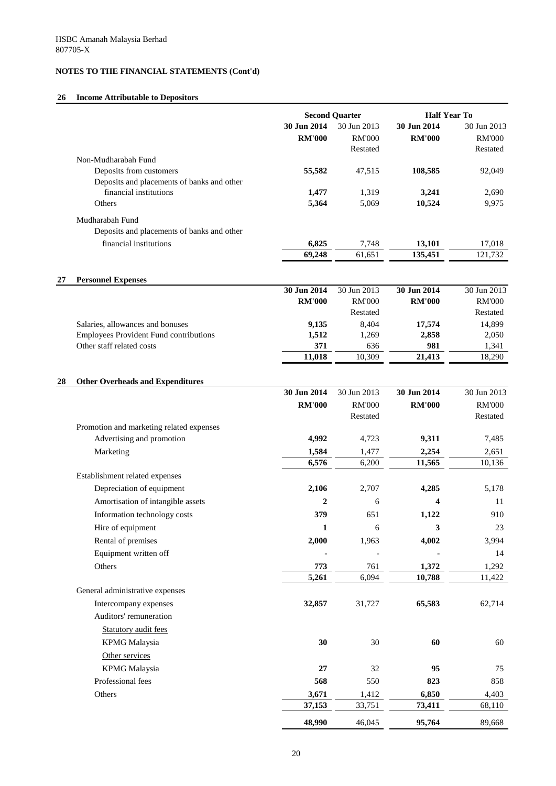# **26 Income Attributable to Depositors**

|    |                                                                      |                              | <b>Second Quarter</b>                    | <b>Half Year To</b>          |                                          |
|----|----------------------------------------------------------------------|------------------------------|------------------------------------------|------------------------------|------------------------------------------|
|    |                                                                      | 30 Jun 2014<br><b>RM'000</b> | 30 Jun 2013<br><b>RM'000</b><br>Restated | 30 Jun 2014<br><b>RM'000</b> | 30 Jun 2013<br><b>RM'000</b><br>Restated |
|    | Non-Mudharabah Fund                                                  |                              |                                          |                              |                                          |
|    | Deposits from customers                                              | 55,582                       | 47,515                                   | 108,585                      | 92,049                                   |
|    | Deposits and placements of banks and other<br>financial institutions | 1,477                        | 1,319                                    | 3,241                        | 2,690                                    |
|    | Others                                                               | 5,364                        | 5,069                                    | 10,524                       | 9,975                                    |
|    | Mudharabah Fund<br>Deposits and placements of banks and other        |                              |                                          |                              |                                          |
|    | financial institutions                                               | 6,825                        | 7,748                                    | 13,101                       | 17,018                                   |
|    |                                                                      | 69,248                       | 61,651                                   | 135,451                      | 121,732                                  |
|    |                                                                      |                              |                                          |                              |                                          |
| 27 | <b>Personnel Expenses</b>                                            | 30 Jun 2014                  | 30 Jun 2013                              | 30 Jun 2014                  | 30 Jun 2013                              |
|    |                                                                      | <b>RM'000</b>                | <b>RM'000</b>                            | <b>RM'000</b>                | <b>RM'000</b>                            |
|    |                                                                      |                              | Restated                                 |                              | Restated                                 |
|    | Salaries, allowances and bonuses                                     | 9,135                        | 8,404                                    | 17,574                       | 14,899                                   |
|    | <b>Employees Provident Fund contributions</b>                        | 1,512                        | 1,269                                    | 2,858                        | 2,050                                    |
|    | Other staff related costs                                            | 371<br>11,018                | 636<br>10,309                            | 981<br>21,413                | 1,341<br>18,290                          |
|    |                                                                      |                              |                                          |                              |                                          |
| 28 | <b>Other Overheads and Expenditures</b>                              |                              |                                          |                              |                                          |
|    |                                                                      | 30 Jun 2014                  | 30 Jun 2013                              | 30 Jun 2014                  | 30 Jun 2013                              |
|    |                                                                      | <b>RM'000</b>                | <b>RM'000</b>                            | <b>RM'000</b>                | <b>RM'000</b>                            |
|    | Promotion and marketing related expenses                             |                              | Restated                                 |                              | Restated                                 |
|    | Advertising and promotion                                            | 4,992                        | 4,723                                    | 9,311                        | 7,485                                    |
|    | Marketing                                                            | 1,584                        | 1,477                                    | 2,254                        | 2,651                                    |
|    |                                                                      | 6,576                        | 6,200                                    | 11,565                       | 10,136                                   |
|    | Establishment related expenses                                       |                              |                                          |                              |                                          |
|    | Depreciation of equipment                                            | 2,106                        | 2,707                                    | 4,285                        | 5,178                                    |
|    | Amortisation of intangible assets                                    | $\boldsymbol{2}$             | 6                                        | 4                            | 11                                       |
|    | Information technology costs                                         | 379                          | 651                                      | 1,122                        | 910                                      |
|    | Hire of equipment                                                    | $\mathbf{1}$                 | 6                                        | 3                            | 23                                       |
|    | Rental of premises                                                   | 2,000                        | 1,963                                    | 4,002                        | 3,994                                    |
|    | Equipment written off                                                |                              |                                          |                              | 14                                       |
|    | Others                                                               | 773                          | 761                                      | 1,372                        | 1,292                                    |
|    |                                                                      | 5,261                        | 6,094                                    | 10,788                       | 11,422                                   |
|    | General administrative expenses                                      |                              |                                          |                              |                                          |
|    | Intercompany expenses                                                | 32,857                       | 31,727                                   | 65,583                       | 62,714                                   |
|    | Auditors' remuneration                                               |                              |                                          |                              |                                          |
|    | <b>Statutory audit fees</b>                                          |                              |                                          |                              |                                          |
|    | <b>KPMG</b> Malaysia                                                 | 30                           | 30                                       | 60                           | 60                                       |
|    | Other services                                                       |                              |                                          |                              |                                          |
|    | <b>KPMG</b> Malaysia                                                 | 27                           | 32                                       | 95                           | 75                                       |
|    | Professional fees                                                    | 568                          | 550                                      | 823                          | 858                                      |
|    | Others                                                               | 3,671                        | 1,412                                    | 6,850                        | 4,403                                    |
|    |                                                                      | 37,153                       | 33,751                                   | 73,411                       | 68,110                                   |
|    |                                                                      | 48,990                       | 46,045                                   | 95,764                       | 89,668                                   |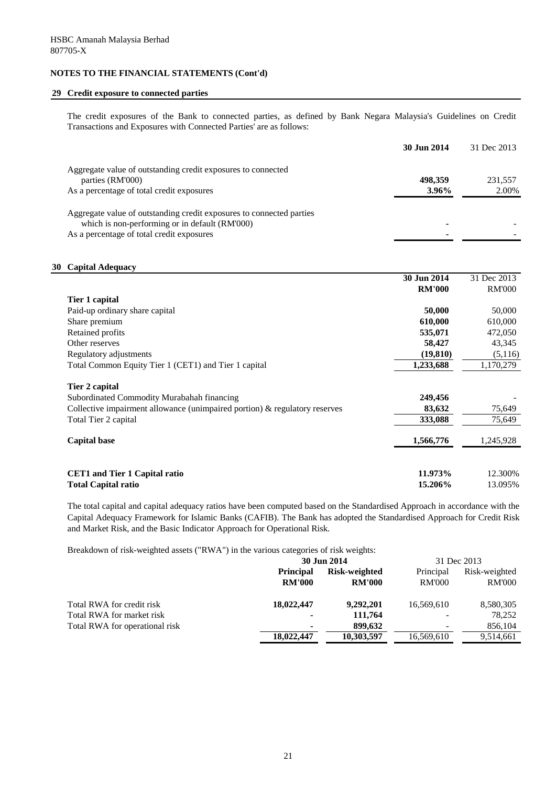## **29 Credit exposure to connected parties**

The credit exposures of the Bank to connected parties, as defined by Bank Negara Malaysia's Guidelines on Credit Transactions and Exposures with Connected Parties' are as follows:

|                                                                      | 30 Jun 2014 | 31 Dec 2013 |
|----------------------------------------------------------------------|-------------|-------------|
| Aggregate value of outstanding credit exposures to connected         |             |             |
| parties (RM'000)                                                     | 498,359     | 231,557     |
| As a percentage of total credit exposures                            | 3.96%       | 2.00%       |
| Aggregate value of outstanding credit exposures to connected parties |             |             |
| which is non-performing or in default (RM'000)                       |             |             |
| As a percentage of total credit exposures                            |             |             |

## **30 Capital Adequacy**

|                                                                                                                                               | 30 Jun 2014        | 31 Dec 2013        |
|-----------------------------------------------------------------------------------------------------------------------------------------------|--------------------|--------------------|
|                                                                                                                                               | <b>RM'000</b>      | <b>RM'000</b>      |
| Tier 1 capital                                                                                                                                |                    |                    |
| Paid-up ordinary share capital                                                                                                                | 50,000             | 50,000             |
| Share premium                                                                                                                                 | 610,000            | 610,000            |
| Retained profits                                                                                                                              | 535,071            | 472,050            |
| Other reserves                                                                                                                                | 58,427             | 43,345             |
| Regulatory adjustments                                                                                                                        | (19, 810)          | (5,116)            |
| Total Common Equity Tier 1 (CET1) and Tier 1 capital                                                                                          | 1,233,688          | 1,170,279          |
| Tier 2 capital<br>Subordinated Commodity Murabahah financing<br>Collective impairment allowance (unimpaired portion) $\&$ regulatory reserves | 249,456<br>83,632  | 75,649             |
| Total Tier 2 capital                                                                                                                          | 333,088            | 75,649             |
| <b>Capital base</b>                                                                                                                           | 1,566,776          | 1,245,928          |
| <b>CET1</b> and Tier 1 Capital ratio<br><b>Total Capital ratio</b>                                                                            | 11.973%<br>15.206% | 12.300%<br>13.095% |

The total capital and capital adequacy ratios have been computed based on the Standardised Approach in accordance with the Capital Adequacy Framework for Islamic Banks (CAFIB). The Bank has adopted the Standardised Approach for Credit Risk and Market Risk, and the Basic Indicator Approach for Operational Risk.

Breakdown of risk-weighted assets ("RWA") in the various categories of risk weights:

|                                |                  | 30 Jun 2014   | 31 Dec 2013   |               |  |
|--------------------------------|------------------|---------------|---------------|---------------|--|
|                                | <b>Principal</b> | Risk-weighted | Principal     | Risk-weighted |  |
|                                | <b>RM'000</b>    | <b>RM'000</b> | <b>RM'000</b> | <b>RM'000</b> |  |
| Total RWA for credit risk      | 18,022,447       | 9,292,201     | 16,569,610    | 8,580,305     |  |
| Total RWA for market risk      | $\blacksquare$   | 111,764       |               | 78,252        |  |
| Total RWA for operational risk | $\blacksquare$   | 899,632       |               | 856,104       |  |
|                                | 18,022,447       | 10,303,597    | 16,569,610    | 9,514,661     |  |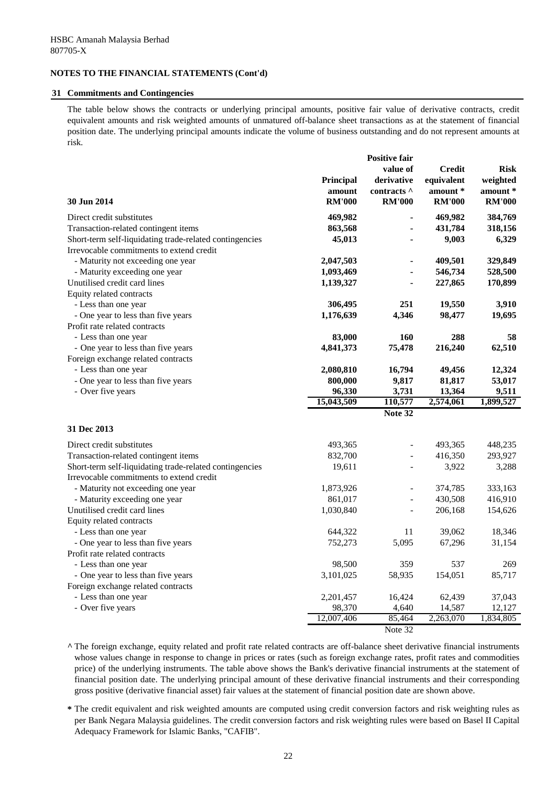## **31 Commitments and Contingencies**

The table below shows the contracts or underlying principal amounts, positive fair value of derivative contracts, credit equivalent amounts and risk weighted amounts of unmatured off-balance sheet transactions as at the statement of financial position date. The underlying principal amounts indicate the volume of business outstanding and do not represent amounts at risk.

|                                                         |                  | <b>Positive fair</b> |               |               |
|---------------------------------------------------------|------------------|----------------------|---------------|---------------|
|                                                         |                  | value of             | <b>Credit</b> | <b>Risk</b>   |
|                                                         | <b>Principal</b> | derivative           | equivalent    | weighted      |
|                                                         |                  | contracts ^          | amount *      | amount *      |
|                                                         | amount           |                      |               |               |
| 30 Jun 2014                                             | <b>RM'000</b>    | <b>RM'000</b>        | <b>RM'000</b> | <b>RM'000</b> |
| Direct credit substitutes                               | 469,982          |                      | 469,982       | 384,769       |
| Transaction-related contingent items                    | 863,568          |                      | 431,784       | 318,156       |
| Short-term self-liquidating trade-related contingencies | 45,013           |                      | 9,003         | 6,329         |
| Irrevocable commitments to extend credit                |                  |                      |               |               |
| - Maturity not exceeding one year                       | 2,047,503        |                      | 409,501       | 329,849       |
| - Maturity exceeding one year                           | 1,093,469        |                      | 546,734       | 528,500       |
| Unutilised credit card lines                            | 1,139,327        |                      | 227,865       | 170,899       |
| Equity related contracts                                |                  |                      |               |               |
| - Less than one year                                    | 306,495          | 251                  | 19,550        | 3,910         |
| - One year to less than five years                      | 1,176,639        | 4,346                | 98,477        | 19,695        |
| Profit rate related contracts                           |                  |                      |               |               |
| - Less than one year                                    | 83,000           | 160                  | 288           | 58            |
| - One year to less than five years                      | 4,841,373        | 75,478               | 216,240       | 62,510        |
| Foreign exchange related contracts                      |                  |                      |               |               |
| - Less than one year                                    | 2,080,810        | 16,794               | 49,456        | 12,324        |
| - One year to less than five years                      | 800,000          | 9,817                | 81,817        | 53,017        |
| - Over five years                                       | 96,330           | 3,731                | 13,364        | 9,511         |
|                                                         | 15,043,509       | 110,577              | 2,574,061     | 1,899,527     |
|                                                         |                  | Note 32              |               |               |
|                                                         |                  |                      |               |               |
| 31 Dec 2013                                             |                  |                      |               |               |
| Direct credit substitutes                               | 493,365          |                      | 493,365       | 448,235       |
| Transaction-related contingent items                    | 832,700          |                      | 416,350       | 293,927       |
| Short-term self-liquidating trade-related contingencies | 19,611           |                      | 3,922         | 3,288         |
| Irrevocable commitments to extend credit                |                  |                      |               |               |
| - Maturity not exceeding one year                       | 1,873,926        |                      | 374,785       | 333,163       |
| - Maturity exceeding one year                           | 861,017          |                      | 430,508       | 416,910       |
| Unutilised credit card lines                            | 1,030,840        |                      | 206,168       | 154,626       |
| Equity related contracts                                |                  |                      |               |               |
| - Less than one year                                    | 644,322          | 11                   | 39,062        | 18,346        |
| - One year to less than five years                      | 752,273          | 5,095                | 67,296        | 31,154        |
| Profit rate related contracts                           |                  |                      |               |               |
| - Less than one year                                    | 98,500           | 359                  | 537           | 269           |
| - One year to less than five years                      | 3,101,025        | 58,935               | 154,051       | 85,717        |
| Foreign exchange related contracts                      |                  |                      |               |               |
| - Less than one year                                    | 2,201,457        | 16,424               | 62,439        | 37,043        |
| - Over five years                                       | 98,370           | 4,640                | 14,587        | 12,127        |
|                                                         | 12,007,406       | 85,464               | 2,263,070     | 1,834,805     |
|                                                         |                  |                      |               |               |

Note 32

**^** The foreign exchange, equity related and profit rate related contracts are off-balance sheet derivative financial instruments whose values change in response to change in prices or rates (such as foreign exchange rates, profit rates and commodities price) of the underlying instruments. The table above shows the Bank's derivative financial instruments at the statement of financial position date. The underlying principal amount of these derivative financial instruments and their corresponding gross positive (derivative financial asset) fair values at the statement of financial position date are shown above.

**\*** The credit equivalent and risk weighted amounts are computed using credit conversion factors and risk weighting rules as per Bank Negara Malaysia guidelines. The credit conversion factors and risk weighting rules were based on Basel II Capital Adequacy Framework for Islamic Banks, "CAFIB".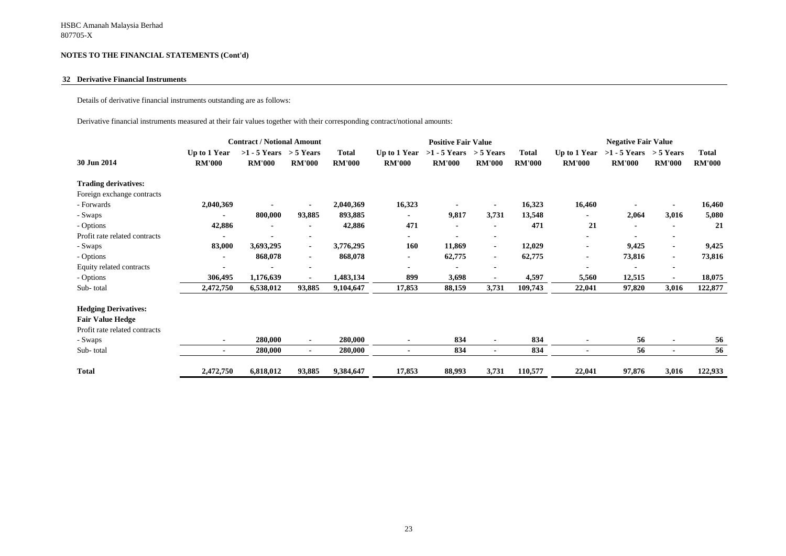#### **32 Derivative Financial Instruments**

Details of derivative financial instruments outstanding are as follows:

Derivative financial instruments measured at their fair values together with their corresponding contract/notional amounts:

| <b>Contract / Notional Amount</b> |                               |                                             |               |                               | <b>Positive Fair Value</b>    |                                             |                |                               | <b>Negative Fair Value</b>    |                                             |                |                               |
|-----------------------------------|-------------------------------|---------------------------------------------|---------------|-------------------------------|-------------------------------|---------------------------------------------|----------------|-------------------------------|-------------------------------|---------------------------------------------|----------------|-------------------------------|
| 30 Jun 2014                       | Up to 1 Year<br><b>RM'000</b> | $>1 - 5$ Years $> 5$ Years<br><b>RM'000</b> | <b>RM'000</b> | <b>Total</b><br><b>RM'000</b> | Up to 1 Year<br><b>RM'000</b> | $>1 - 5$ Years $> 5$ Years<br><b>RM'000</b> | <b>RM'000</b>  | <b>Total</b><br><b>RM'000</b> | Up to 1 Year<br><b>RM'000</b> | $>1 - 5$ Years $> 5$ Years<br><b>RM'000</b> | <b>RM'000</b>  | <b>Total</b><br><b>RM'000</b> |
| <b>Trading derivatives:</b>       |                               |                                             |               |                               |                               |                                             |                |                               |                               |                                             |                |                               |
| Foreign exchange contracts        |                               |                                             |               |                               |                               |                                             |                |                               |                               |                                             |                |                               |
| - Forwards                        | 2,040,369                     |                                             |               | 2,040,369                     | 16,323                        |                                             |                | 16,323                        | 16,460                        |                                             |                | 16,460                        |
| - Swaps                           |                               | 800,000                                     | 93,885        | 893,885                       |                               | 9,817                                       | 3,731          | 13,548                        |                               | 2,064                                       | 3,016          | 5,080                         |
| - Options                         | 42,886                        |                                             |               | 42,886                        | 471                           |                                             | $\blacksquare$ | 471                           | 21                            | $\blacksquare$                              |                | 21                            |
| Profit rate related contracts     |                               |                                             |               |                               |                               |                                             | $\blacksquare$ |                               |                               |                                             |                |                               |
| - Swaps                           | 83,000                        | 3,693,295                                   | ۰.            | 3,776,295                     | 160                           | 11,869                                      | $\blacksquare$ | 12,029                        |                               | 9,425                                       |                | 9,425                         |
| - Options                         |                               | 868,078                                     | ٠.            | 868,078                       | $\blacksquare$                | 62,775                                      | ٠              | 62,775                        |                               | 73,816                                      | $\blacksquare$ | 73,816                        |
| Equity related contracts          |                               |                                             | ۰             |                               | ٠                             |                                             | $\blacksquare$ |                               |                               |                                             | $\blacksquare$ |                               |
| - Options                         | 306,495                       | 1,176,639                                   | ٠             | 1,483,134                     | 899                           | 3,698                                       | $\blacksquare$ | 4,597                         | 5,560                         | 12,515                                      |                | 18,075                        |
| Sub-total                         | 2,472,750                     | 6,538,012                                   | 93,885        | 9,104,647                     | 17,853                        | 88,159                                      | 3,731          | 109,743                       | 22,041                        | 97,820                                      | 3,016          | 122,877                       |
| <b>Hedging Derivatives:</b>       |                               |                                             |               |                               |                               |                                             |                |                               |                               |                                             |                |                               |
| <b>Fair Value Hedge</b>           |                               |                                             |               |                               |                               |                                             |                |                               |                               |                                             |                |                               |
| Profit rate related contracts     |                               |                                             |               |                               |                               |                                             |                |                               |                               |                                             |                |                               |
| - Swaps                           |                               | 280,000                                     |               | 280,000                       |                               | 834                                         | $\blacksquare$ | 834                           |                               | 56                                          |                | 56                            |
| Sub-total                         | $\sim$                        | 280,000                                     | ۰.            | 280,000                       | $\blacksquare$                | 834                                         | $\blacksquare$ | 834                           |                               | 56                                          | $\blacksquare$ | 56                            |
| <b>Total</b>                      | 2,472,750                     | 6,818,012                                   | 93,885        | 9,384,647                     | 17,853                        | 88,993                                      | 3,731          | 110,577                       | 22,041                        | 97,876                                      | 3,016          | 122,933                       |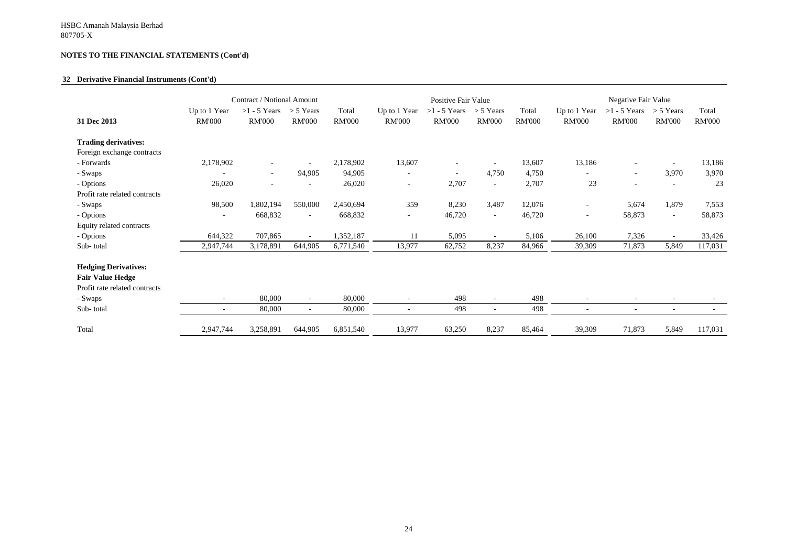## **32 Derivative Financial Instruments (Cont'd)**

|                                                                                                                 |                                                      | Contract / Notional Amount      |                              |                        |                                                      | Positive Fair Value             |                                    |                        |                               | Negative Fair Value             |                              |                        |
|-----------------------------------------------------------------------------------------------------------------|------------------------------------------------------|---------------------------------|------------------------------|------------------------|------------------------------------------------------|---------------------------------|------------------------------------|------------------------|-------------------------------|---------------------------------|------------------------------|------------------------|
| 31 Dec 2013                                                                                                     | Up to 1 Year<br><b>RM'000</b>                        | $>1 - 5$ Years<br><b>RM'000</b> | $>$ 5 Years<br><b>RM'000</b> | Total<br><b>RM'000</b> | Up to 1 Year<br><b>RM'000</b>                        | $>1 - 5$ Years<br><b>RM'000</b> | $> 5$ Years<br><b>RM'000</b>       | Total<br><b>RM'000</b> | Up to 1 Year<br><b>RM'000</b> | $>1 - 5$ Years<br><b>RM'000</b> | $>$ 5 Years<br><b>RM'000</b> | Total<br><b>RM'000</b> |
| <b>Trading derivatives:</b>                                                                                     |                                                      |                                 |                              |                        |                                                      |                                 |                                    |                        |                               |                                 |                              |                        |
| Foreign exchange contracts                                                                                      |                                                      |                                 |                              |                        |                                                      |                                 |                                    |                        |                               |                                 |                              |                        |
| - Forwards                                                                                                      | 2,178,902                                            |                                 |                              | 2,178,902              | 13,607                                               | $\overline{\phantom{a}}$        |                                    | 13,607                 | 13,186                        |                                 |                              | 13,186                 |
| - Swaps                                                                                                         |                                                      | $\overline{\phantom{a}}$        | 94,905                       | 94,905                 | $\overline{\phantom{a}}$                             | $\sim$                          | 4,750                              | 4,750                  | $\sim$                        | $\sim$                          | 3,970                        | 3,970                  |
| - Options                                                                                                       | 26,020                                               | $\overline{\phantom{a}}$        |                              | 26,020                 | $\overline{\phantom{a}}$                             | 2,707                           | $\overline{\phantom{a}}$           | 2,707                  | 23                            |                                 | $\overline{\phantom{0}}$     | 23                     |
| Profit rate related contracts                                                                                   |                                                      |                                 |                              |                        |                                                      |                                 |                                    |                        |                               |                                 |                              |                        |
| - Swaps                                                                                                         | 98,500                                               | 1,802,194                       | 550,000                      | 2,450,694              | 359                                                  | 8,230                           | 3,487                              | 12,076                 | $\sim$                        | 5,674                           | 1,879                        | 7,553                  |
| - Options                                                                                                       |                                                      | 668,832                         | $\overline{\phantom{a}}$     | 668,832                | $\overline{\phantom{a}}$                             | 46,720                          | $\overline{\phantom{a}}$           | 46,720                 | $\sim$                        | 58,873                          | $\sim$                       | 58,873                 |
| Equity related contracts                                                                                        |                                                      |                                 |                              |                        |                                                      |                                 |                                    |                        |                               |                                 |                              |                        |
| - Options                                                                                                       | 644,322                                              | 707,865                         | $\sim$                       | 1,352,187              | 11                                                   | 5,095                           | $\sim$                             | 5,106                  | 26,100                        | 7,326                           | $\overline{\phantom{a}}$     | 33,426                 |
| Sub-total                                                                                                       | 2,947,744                                            | 3,178,891                       | 644,905                      | 6,771,540              | 13,977                                               | 62,752                          | 8,237                              | 84,966                 | 39,309                        | 71,873                          | 5,849                        | 117,031                |
| <b>Hedging Derivatives:</b><br><b>Fair Value Hedge</b><br>Profit rate related contracts<br>- Swaps<br>Sub-total | $\overline{\phantom{a}}$<br>$\overline{\phantom{a}}$ | 80,000<br>80,000                | $\equiv$<br>$\sim$           | 80,000<br>80,000       | $\overline{\phantom{a}}$<br>$\overline{\phantom{a}}$ | 498<br>498                      | $\overline{\phantom{a}}$<br>$\sim$ | 498<br>498             |                               | $\overline{\phantom{a}}$        | $\overline{\phantom{a}}$     |                        |
| Total                                                                                                           | 2,947,744                                            | 3,258,891                       | 644,905                      | 6,851,540              | 13,977                                               | 63,250                          | 8,237                              | 85,464                 | 39,309                        | 71,873                          | 5,849                        | 117,031                |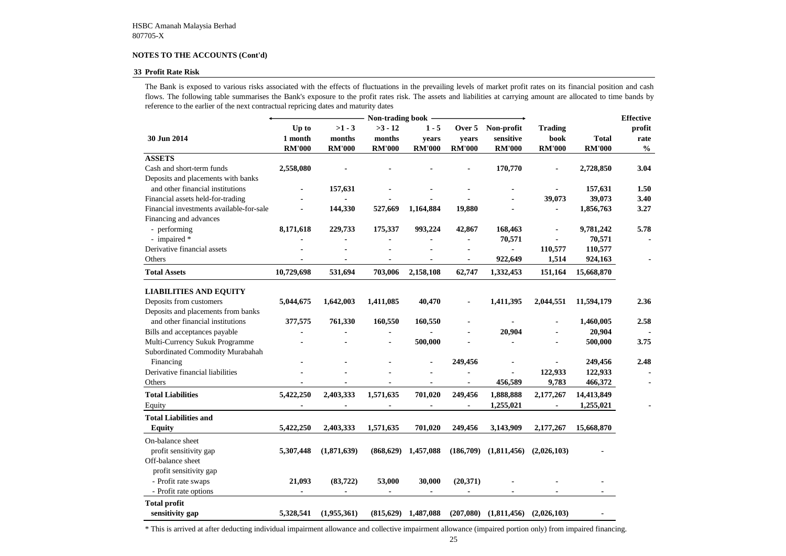#### **33 Profit Rate Risk**

|                                          | Non-trading book -                |                                     |                                      |                                   |                                  |                                          |                                         |                               |                                                     |  |
|------------------------------------------|-----------------------------------|-------------------------------------|--------------------------------------|-----------------------------------|----------------------------------|------------------------------------------|-----------------------------------------|-------------------------------|-----------------------------------------------------|--|
| 30 Jun 2014                              | Up to<br>1 month<br><b>RM'000</b> | $>1 - 3$<br>months<br><b>RM'000</b> | $>3 - 12$<br>months<br><b>RM'000</b> | $1 - 5$<br>years<br><b>RM'000</b> | Over 5<br>years<br><b>RM'000</b> | Non-profit<br>sensitive<br><b>RM'000</b> | <b>Trading</b><br>book<br><b>RM'000</b> | <b>Total</b><br><b>RM'000</b> | <b>Effective</b><br>profit<br>rate<br>$\frac{0}{0}$ |  |
| <b>ASSETS</b>                            |                                   |                                     |                                      |                                   |                                  |                                          |                                         |                               |                                                     |  |
| Cash and short-term funds                | 2,558,080                         |                                     |                                      |                                   |                                  | 170,770                                  |                                         | 2,728,850                     | 3.04                                                |  |
| Deposits and placements with banks       |                                   |                                     |                                      |                                   |                                  |                                          |                                         |                               |                                                     |  |
| and other financial institutions         |                                   | 157,631                             |                                      |                                   |                                  |                                          |                                         | 157,631                       | 1.50                                                |  |
| Financial assets held-for-trading        |                                   |                                     |                                      |                                   |                                  |                                          | 39,073                                  | 39,073                        | 3.40                                                |  |
| Financial investments available-for-sale |                                   | 144,330                             | 527,669                              | 1,164,884                         | 19,880                           |                                          |                                         | 1,856,763                     | 3.27                                                |  |
| Financing and advances                   |                                   |                                     |                                      |                                   |                                  |                                          |                                         |                               |                                                     |  |
| - performing                             | 8,171,618                         | 229,733                             | 175,337                              | 993,224                           | 42,867                           | 168,463                                  |                                         | 9,781,242                     | 5.78                                                |  |
| - impaired *                             |                                   |                                     |                                      |                                   |                                  | 70,571                                   |                                         | 70,571                        |                                                     |  |
| Derivative financial assets              |                                   |                                     |                                      |                                   |                                  |                                          | 110,577                                 | 110,577                       |                                                     |  |
| Others                                   |                                   |                                     |                                      |                                   |                                  | 922,649                                  | 1,514                                   | 924,163                       |                                                     |  |
| <b>Total Assets</b>                      | 10,729,698                        | 531,694                             | 703,006                              | 2,158,108                         | 62,747                           | 1,332,453                                | 151,164                                 | 15,668,870                    |                                                     |  |
| <b>LIABILITIES AND EQUITY</b>            |                                   |                                     |                                      |                                   |                                  |                                          |                                         |                               |                                                     |  |
| Deposits from customers                  | 5,044,675                         | 1,642,003                           | 1,411,085                            | 40,470                            | $\blacksquare$                   | 1,411,395                                | 2,044,551                               | 11,594,179                    | 2.36                                                |  |
| Deposits and placements from banks       |                                   |                                     |                                      |                                   |                                  |                                          |                                         |                               |                                                     |  |
| and other financial institutions         | 377,575                           | 761,330                             | 160,550                              | 160,550                           |                                  |                                          |                                         | 1,460,005                     | 2.58                                                |  |
| Bills and acceptances payable            |                                   |                                     |                                      |                                   |                                  | 20,904                                   |                                         | 20,904                        |                                                     |  |
| Multi-Currency Sukuk Programme           |                                   |                                     |                                      | 500,000                           |                                  |                                          |                                         | 500,000                       | 3.75                                                |  |
| Subordinated Commodity Murabahah         |                                   |                                     |                                      |                                   |                                  |                                          |                                         |                               |                                                     |  |
| Financing                                |                                   |                                     |                                      |                                   | 249,456                          |                                          |                                         | 249,456                       | 2.48                                                |  |
| Derivative financial liabilities         |                                   |                                     |                                      |                                   |                                  |                                          | 122,933                                 | 122,933                       |                                                     |  |
| Others                                   |                                   |                                     |                                      |                                   |                                  | 456,589                                  | 9,783                                   | 466,372                       |                                                     |  |
| <b>Total Liabilities</b>                 | 5,422,250                         | 2,403,333                           | 1,571,635                            | 701,020                           | 249,456                          | 1,888,888                                | 2,177,267                               | 14,413,849                    |                                                     |  |
| Equity                                   | $\blacksquare$                    | $\blacksquare$                      | $\blacksquare$                       | $\blacksquare$                    | $\blacksquare$                   | 1,255,021                                | $\blacksquare$                          | 1,255,021                     |                                                     |  |
| <b>Total Liabilities and</b>             |                                   |                                     |                                      |                                   |                                  |                                          |                                         |                               |                                                     |  |
| <b>Equity</b>                            | 5,422,250                         | 2,403,333                           | 1,571,635                            | 701,020                           | 249,456                          | 3,143,909                                | 2,177,267                               | 15,668,870                    |                                                     |  |
| On-balance sheet                         |                                   |                                     |                                      |                                   |                                  |                                          |                                         |                               |                                                     |  |
| profit sensitivity gap                   | 5,307,448                         | (1,871,639)                         | (868, 629)                           | 1,457,088                         | (186,709)                        | (1,811,456)                              | (2,026,103)                             |                               |                                                     |  |
| Off-balance sheet                        |                                   |                                     |                                      |                                   |                                  |                                          |                                         |                               |                                                     |  |
| profit sensitivity gap                   |                                   |                                     |                                      |                                   |                                  |                                          |                                         |                               |                                                     |  |
| - Profit rate swaps                      | 21,093                            | (83, 722)                           | 53,000                               | 30,000                            | (20,371)                         |                                          |                                         |                               |                                                     |  |
| - Profit rate options                    |                                   |                                     |                                      |                                   |                                  |                                          |                                         |                               |                                                     |  |
| <b>Total profit</b>                      |                                   |                                     |                                      |                                   |                                  |                                          |                                         |                               |                                                     |  |
| sensitivity gap                          | 5,328,541                         | (1,955,361)                         | (815, 629)                           | 1,487,088                         | (207,080)                        | (1,811,456)                              | (2,026,103)                             |                               |                                                     |  |

\* This is arrived at after deducting individual impairment allowance and collective impairment allowance (impaired portion only) from impaired financing.

The Bank is exposed to various risks associated with the effects of fluctuations in the prevailing levels of market profit rates on its financial position and cash flows. The following table summarises the Bank's exposure to the profit rates risk. The assets and liabilities at carrying amount are allocated to time bands by reference to the earlier of the next contractual repricing dates and maturity dates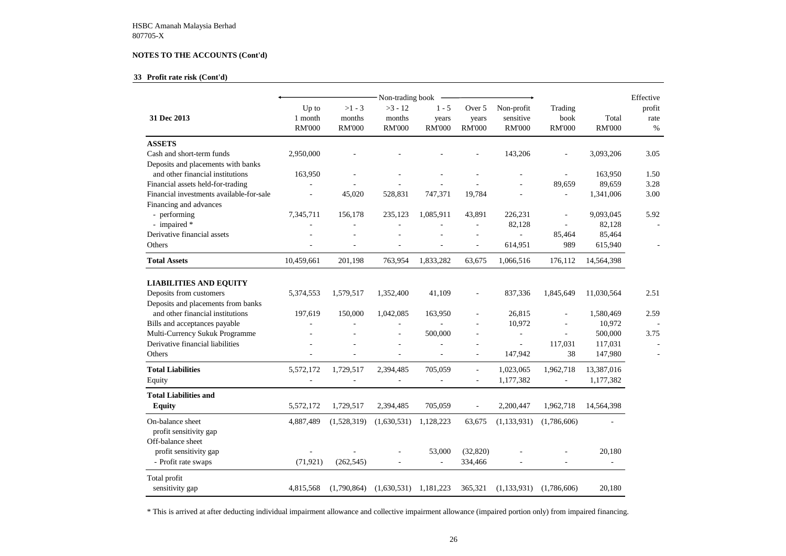## **33 Profit rate risk (Cont'd)**

| Total<br><b>RM'000</b>                   | Effective<br>profit<br>rate<br>$\%$ |
|------------------------------------------|-------------------------------------|
| 3,093,206                                | 3.05                                |
| 163,950<br>89,659<br>1,341,006           | 1.50<br>3.28<br>3.00                |
| 9,093,045<br>82,128<br>85,464<br>615,940 | 5.92                                |
| 14,564,398                               |                                     |
| 11,030,564<br>1,580,469                  | 2.51<br>2.59                        |
| 10,972<br>500,000<br>117,031<br>147,980  | 3.75                                |
| 13,387,016<br>1,177,382                  |                                     |
| 14,564,398                               |                                     |
|                                          |                                     |
| 20,180                                   |                                     |
| 20,180                                   |                                     |

|                                          |                                   |                                     |                                                          |                                   |                                  | Effective                                |                                  |                          |                        |
|------------------------------------------|-----------------------------------|-------------------------------------|----------------------------------------------------------|-----------------------------------|----------------------------------|------------------------------------------|----------------------------------|--------------------------|------------------------|
| 31 Dec 2013                              | Up to<br>1 month<br><b>RM'000</b> | $>1 - 3$<br>months<br><b>RM'000</b> | Non-trading book<br>$>3 - 12$<br>months<br><b>RM'000</b> | $1 - 5$<br>years<br><b>RM'000</b> | Over 5<br>years<br><b>RM'000</b> | Non-profit<br>sensitive<br><b>RM'000</b> | Trading<br>book<br><b>RM'000</b> | Total<br><b>RM'000</b>   | profit<br>rate<br>$\%$ |
| <b>ASSETS</b>                            |                                   |                                     |                                                          |                                   |                                  |                                          |                                  |                          |                        |
| Cash and short-term funds                | 2,950,000                         |                                     |                                                          |                                   |                                  | 143,206                                  |                                  | 3,093,206                | 3.05                   |
| Deposits and placements with banks       |                                   |                                     |                                                          |                                   |                                  |                                          |                                  |                          |                        |
| and other financial institutions         | 163,950                           |                                     |                                                          |                                   |                                  |                                          |                                  | 163,950                  | 1.50                   |
| Financial assets held-for-trading        |                                   |                                     |                                                          |                                   |                                  |                                          | 89,659                           | 89,659                   | 3.28                   |
| Financial investments available-for-sale |                                   | 45,020                              | 528,831                                                  | 747,371                           | 19,784                           |                                          |                                  | 1,341,006                | 3.00                   |
| Financing and advances                   |                                   |                                     |                                                          |                                   |                                  |                                          |                                  |                          |                        |
| - performing                             | 7,345,711                         | 156,178                             | 235,123                                                  | 1,085,911                         | 43,891                           | 226,231                                  | $\overline{\phantom{a}}$         | 9,093,045                | 5.92                   |
| - impaired *                             |                                   |                                     |                                                          |                                   |                                  | 82,128                                   |                                  | 82,128                   |                        |
| Derivative financial assets              |                                   |                                     |                                                          |                                   |                                  |                                          | 85,464                           | 85,464                   |                        |
| Others                                   |                                   |                                     |                                                          |                                   |                                  | 614,951                                  | 989                              | 615,940                  |                        |
| <b>Total Assets</b>                      | 10,459,661                        | 201,198                             | 763,954                                                  | 1,833,282                         | 63,675                           | 1,066,516                                | 176,112                          | 14,564,398               |                        |
| <b>LIABILITIES AND EQUITY</b>            |                                   |                                     |                                                          |                                   |                                  |                                          |                                  |                          |                        |
| Deposits from customers                  | 5,374,553                         | 1,579,517                           | 1,352,400                                                | 41,109                            | $\overline{\phantom{a}}$         | 837,336                                  | 1,845,649                        | 11,030,564               | 2.51                   |
| Deposits and placements from banks       |                                   |                                     |                                                          |                                   |                                  |                                          |                                  |                          |                        |
| and other financial institutions         | 197,619                           | 150,000                             | 1,042,085                                                | 163,950                           |                                  | 26,815                                   | $\overline{\phantom{a}}$         | 1,580,469                | 2.59                   |
| Bills and acceptances payable            |                                   |                                     |                                                          |                                   | $\overline{\phantom{a}}$         | 10,972                                   |                                  | 10,972                   |                        |
| Multi-Currency Sukuk Programme           |                                   |                                     |                                                          | 500,000                           |                                  |                                          |                                  | 500,000                  | 3.75                   |
| Derivative financial liabilities         |                                   |                                     |                                                          |                                   |                                  | $\overline{\phantom{a}}$                 | 117,031                          | 117,031                  |                        |
| Others                                   |                                   |                                     |                                                          |                                   |                                  | 147,942                                  | 38                               | 147,980                  |                        |
| <b>Total Liabilities</b>                 | 5,572,172                         | 1,729,517                           | 2,394,485                                                | 705,059                           |                                  | 1,023,065                                | 1,962,718                        | 13,387,016               |                        |
| Equity                                   |                                   |                                     |                                                          |                                   |                                  | 1,177,382                                |                                  | 1,177,382                |                        |
| <b>Total Liabilities and</b>             |                                   |                                     |                                                          |                                   |                                  |                                          |                                  |                          |                        |
| <b>Equity</b>                            | 5,572,172                         | 1,729,517                           | 2,394,485                                                | 705,059                           | $\overline{\phantom{a}}$         | 2,200,447                                | 1,962,718                        | 14,564,398               |                        |
| On-balance sheet                         | 4,887,489                         | (1,528,319)                         | (1,630,531)                                              | 1,128,223                         | 63,675                           | (1,133,931)                              | (1,786,606)                      |                          |                        |
| profit sensitivity gap                   |                                   |                                     |                                                          |                                   |                                  |                                          |                                  |                          |                        |
| Off-balance sheet                        |                                   |                                     |                                                          |                                   |                                  |                                          |                                  |                          |                        |
| profit sensitivity gap                   |                                   |                                     |                                                          | 53,000                            | (32, 820)                        |                                          | $\overline{\phantom{a}}$         | 20,180                   |                        |
| - Profit rate swaps                      | (71, 921)                         | (262, 545)                          |                                                          | $\overline{\phantom{0}}$          | 334,466                          | $\overline{a}$                           | $\overline{\phantom{a}}$         | $\overline{\phantom{a}}$ |                        |
| Total profit                             |                                   |                                     |                                                          |                                   |                                  |                                          |                                  |                          |                        |
| sensitivity gap                          | 4,815,568                         | (1,790,864)                         | (1,630,531)                                              | 1,181,223                         | 365,321                          | (1,133,931)                              | (1,786,606)                      | 20,180                   |                        |

\* This is arrived at after deducting individual impairment allowance and collective impairment allowance (impaired portion only) from impaired financing.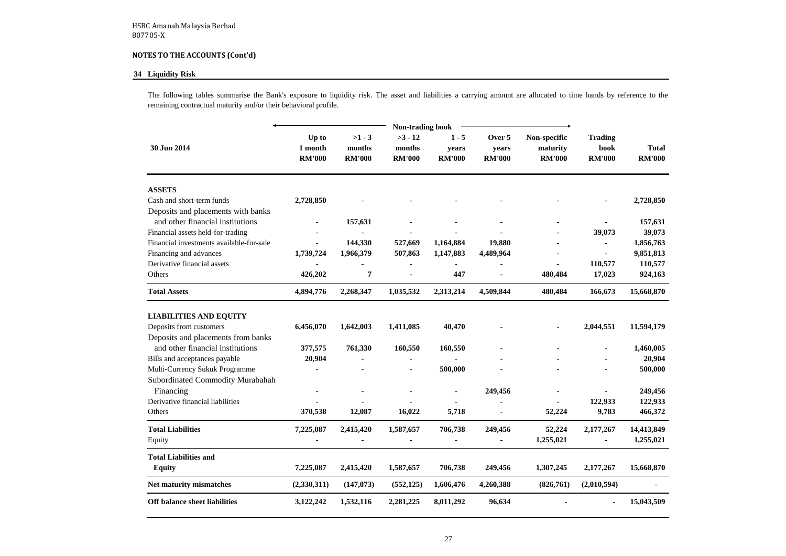#### **34 Liquidity Risk**

The following tables summarise the Bank's exposure to liquidity risk. The asset and liabilities a carrying amount are allocated to time bands by reference to the remaining contractual maturity and/or their behavioral profile.

| 30 Jun 2014                                                            | Up to<br>1 month<br><b>RM'000</b> | $>1 - 3$<br>months<br><b>RM'000</b> | $>3 - 12$<br>months<br><b>RM'000</b> | $1 - 5$<br>years<br><b>RM'000</b> | Over 5<br>years<br><b>RM'000</b> | Non-specific<br>maturity<br><b>RM'000</b> | <b>Trading</b><br>book<br><b>RM'000</b> | <b>Total</b><br><b>RM'000</b> |
|------------------------------------------------------------------------|-----------------------------------|-------------------------------------|--------------------------------------|-----------------------------------|----------------------------------|-------------------------------------------|-----------------------------------------|-------------------------------|
| <b>ASSETS</b>                                                          |                                   |                                     |                                      |                                   |                                  |                                           |                                         |                               |
| Cash and short-term funds                                              | 2,728,850                         |                                     |                                      |                                   |                                  |                                           |                                         | 2,728,850                     |
| Deposits and placements with banks<br>and other financial institutions |                                   | 157,631                             |                                      |                                   |                                  |                                           |                                         | 157,631                       |
| Financial assets held-for-trading                                      |                                   |                                     |                                      |                                   |                                  |                                           | 39,073                                  | 39,073                        |
| Financial investments available-for-sale                               |                                   | 144,330                             | 527,669                              | 1,164,884                         | 19,880                           |                                           |                                         | 1,856,763                     |
| Financing and advances                                                 | 1,739,724                         | 1,966,379                           | 507,863                              | 1,147,883                         | 4,489,964                        |                                           |                                         | 9,851,813                     |
| Derivative financial assets                                            |                                   |                                     |                                      |                                   |                                  |                                           | 110,577                                 | 110,577                       |
| Others                                                                 | 426,202                           | 7                                   |                                      | 447                               |                                  | 480,484                                   | 17,023                                  | 924,163                       |
| <b>Total Assets</b>                                                    | 4,894,776                         | 2,268,347                           | 1,035,532                            | 2,313,214                         | 4,509,844                        | 480,484                                   | 166,673                                 | 15,668,870                    |
| <b>LIABILITIES AND EQUITY</b>                                          |                                   |                                     |                                      |                                   |                                  |                                           |                                         |                               |
| Deposits from customers                                                | 6,456,070                         | 1,642,003                           | 1,411,085                            | 40,470                            |                                  |                                           | 2,044,551                               | 11,594,179                    |
| Deposits and placements from banks                                     |                                   |                                     |                                      |                                   |                                  |                                           |                                         |                               |
| and other financial institutions                                       | 377,575                           | 761,330                             | 160,550                              | 160,550                           |                                  |                                           |                                         | 1,460,005                     |
| Bills and acceptances payable                                          | 20,904                            |                                     |                                      |                                   |                                  |                                           |                                         | 20,904                        |
| Multi-Currency Sukuk Programme                                         |                                   |                                     |                                      | 500,000                           |                                  |                                           |                                         | 500,000                       |
| Subordinated Commodity Murabahah                                       |                                   |                                     |                                      |                                   |                                  |                                           |                                         |                               |
| Financing                                                              |                                   |                                     |                                      |                                   | 249,456                          |                                           |                                         | 249,456                       |
| Derivative financial liabilities                                       |                                   |                                     |                                      |                                   |                                  |                                           | 122,933                                 | 122,933                       |
| Others                                                                 | 370,538                           | 12,087                              | 16,022                               | 5,718                             |                                  | 52,224                                    | 9,783                                   | 466,372                       |
| <b>Total Liabilities</b>                                               | 7,225,087                         | 2,415,420                           | 1,587,657                            | 706,738                           | 249,456                          | 52,224                                    | 2,177,267                               | 14,413,849                    |
| Equity                                                                 |                                   |                                     |                                      |                                   |                                  | 1,255,021                                 |                                         | 1,255,021                     |
| <b>Total Liabilities and</b>                                           |                                   |                                     |                                      |                                   |                                  |                                           |                                         |                               |
| <b>Equity</b>                                                          | 7,225,087                         | 2,415,420                           | 1,587,657                            | 706,738                           | 249,456                          | 1,307,245                                 | 2,177,267                               | 15,668,870                    |
| <b>Net maturity mismatches</b>                                         | (2,330,311)                       | (147, 073)                          | (552, 125)                           | 1,606,476                         | 4,260,388                        | (826,761)                                 | (2,010,594)                             |                               |
| <b>Off balance sheet liabilities</b>                                   | 3,122,242                         | 1,532,116                           | 2,281,225                            | 8,011,292                         | 96,634                           | ٠                                         |                                         | 15,043,509                    |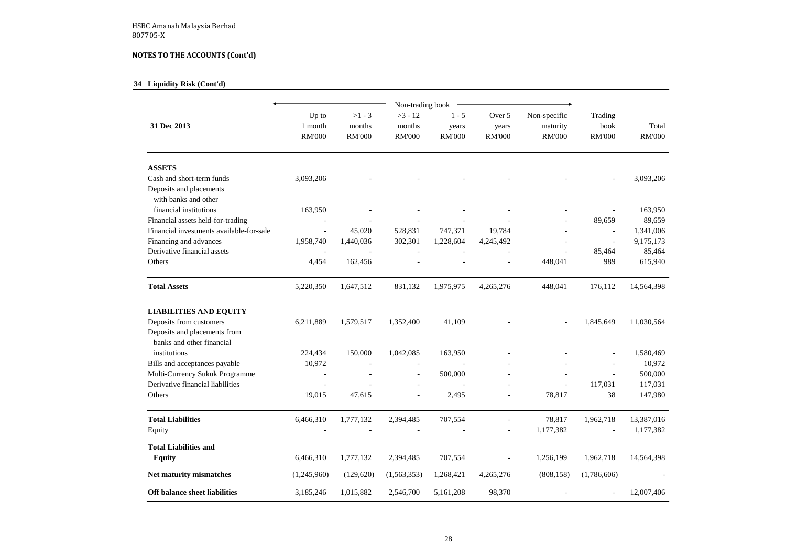# **34 Liquidity Risk (Cont'd)**

|                                                                              |                                   |                                     | Non-trading book                     |                                   |                                  |                                           |                                  |                        |
|------------------------------------------------------------------------------|-----------------------------------|-------------------------------------|--------------------------------------|-----------------------------------|----------------------------------|-------------------------------------------|----------------------------------|------------------------|
| 31 Dec 2013                                                                  | Up to<br>1 month<br><b>RM'000</b> | $>1 - 3$<br>months<br><b>RM'000</b> | $>3 - 12$<br>months<br><b>RM'000</b> | $1 - 5$<br>years<br><b>RM'000</b> | Over 5<br>years<br><b>RM'000</b> | Non-specific<br>maturity<br><b>RM'000</b> | Trading<br>book<br><b>RM'000</b> | Total<br><b>RM'000</b> |
| <b>ASSETS</b>                                                                |                                   |                                     |                                      |                                   |                                  |                                           |                                  |                        |
| Cash and short-term funds<br>Deposits and placements<br>with banks and other | 3,093,206                         |                                     |                                      |                                   |                                  |                                           |                                  | 3,093,206              |
| financial institutions                                                       | 163,950                           |                                     |                                      |                                   |                                  |                                           |                                  | 163,950                |
| Financial assets held-for-trading                                            | $\overline{\phantom{a}}$          | $\overline{\phantom{a}}$            |                                      |                                   |                                  | $\overline{\phantom{a}}$                  | 89,659                           | 89,659                 |
| Financial investments available-for-sale                                     | $\overline{\phantom{a}}$          | 45,020                              | 528,831                              | 747,371                           | 19,784                           |                                           |                                  | 1,341,006              |
| Financing and advances                                                       | 1,958,740                         | 1,440,036                           | 302,301                              | 1,228,604                         | 4,245,492                        |                                           |                                  | 9,175,173              |
| Derivative financial assets                                                  |                                   |                                     |                                      |                                   |                                  |                                           | 85,464                           | 85,464                 |
| Others                                                                       | 4,454                             | 162,456                             |                                      |                                   |                                  | 448,041                                   | 989                              | 615,940                |
| <b>Total Assets</b>                                                          | 5,220,350                         | 1,647,512                           | 831,132                              | 1,975,975                         | 4,265,276                        | 448,041                                   | 176,112                          | 14,564,398             |
| <b>LIABILITIES AND EQUITY</b>                                                |                                   |                                     |                                      |                                   |                                  |                                           |                                  |                        |
| Deposits from customers                                                      | 6,211,889                         | 1,579,517                           | 1,352,400                            | 41,109                            |                                  |                                           | 1,845,649                        | 11,030,564             |
| Deposits and placements from<br>banks and other financial                    |                                   |                                     |                                      |                                   |                                  |                                           |                                  |                        |
| institutions                                                                 | 224,434                           | 150,000                             | 1,042,085                            | 163,950                           |                                  |                                           |                                  | 1,580,469              |
| Bills and acceptances payable                                                | 10,972                            | $\blacksquare$                      | $\overline{\phantom{0}}$             |                                   |                                  |                                           |                                  | 10,972                 |
| Multi-Currency Sukuk Programme                                               | $\blacksquare$                    |                                     | $\overline{\phantom{a}}$             | 500,000                           |                                  |                                           |                                  | 500,000                |
| Derivative financial liabilities                                             | $\overline{\phantom{a}}$          |                                     | $\overline{\phantom{a}}$             |                                   |                                  | $\blacksquare$                            | 117,031                          | 117,031                |
| Others                                                                       | 19,015                            | 47,615                              |                                      | 2,495                             |                                  | 78,817                                    | 38                               | 147,980                |
| <b>Total Liabilities</b>                                                     | 6,466,310                         | 1,777,132                           | 2,394,485                            | 707,554                           |                                  | 78,817                                    | 1,962,718                        | 13,387,016             |
| Equity                                                                       |                                   |                                     |                                      |                                   | $\overline{\phantom{a}}$         | 1,177,382                                 |                                  | 1,177,382              |
| <b>Total Liabilities and</b><br><b>Equity</b>                                | 6,466,310                         | 1,777,132                           | 2,394,485                            | 707,554                           | $\overline{\phantom{a}}$         | 1,256,199                                 | 1,962,718                        | 14,564,398             |
| <b>Net maturity mismatches</b>                                               | (1,245,960)                       | (129, 620)                          | (1,563,353)                          | 1,268,421                         | 4,265,276                        | (808, 158)                                | (1,786,606)                      |                        |
| <b>Off balance sheet liabilities</b>                                         | 3,185,246                         | 1,015,882                           | 2,546,700                            | 5,161,208                         | 98,370                           |                                           |                                  | 12,007,406             |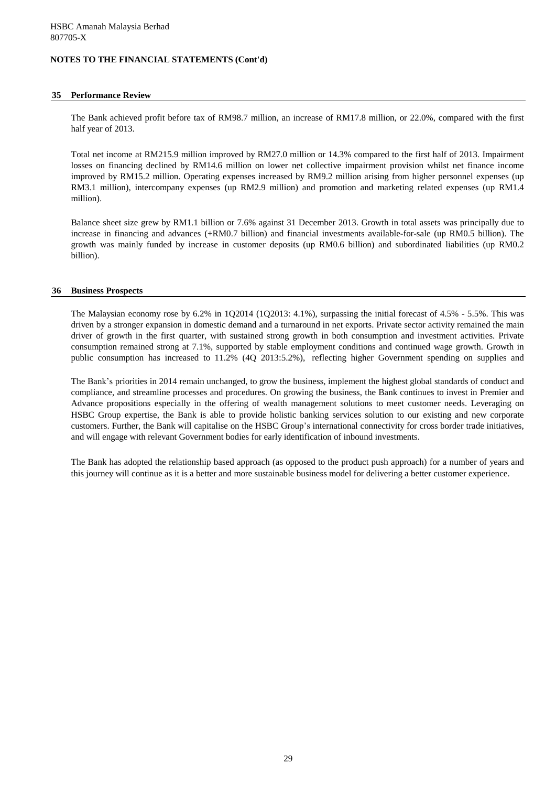## **35 Performance Review**

The Bank achieved profit before tax of RM98.7 million, an increase of RM17.8 million, or 22.0%, compared with the first half year of 2013.

Total net income at RM215.9 million improved by RM27.0 million or 14.3% compared to the first half of 2013. Impairment losses on financing declined by RM14.6 million on lower net collective impairment provision whilst net finance income improved by RM15.2 million. Operating expenses increased by RM9.2 million arising from higher personnel expenses (up RM3.1 million), intercompany expenses (up RM2.9 million) and promotion and marketing related expenses (up RM1.4 million).

Balance sheet size grew by RM1.1 billion or 7.6% against 31 December 2013. Growth in total assets was principally due to increase in financing and advances (+RM0.7 billion) and financial investments available-for-sale (up RM0.5 billion). The growth was mainly funded by increase in customer deposits (up RM0.6 billion) and subordinated liabilities (up RM0.2 billion).

## **36 Business Prospects**

The Malaysian economy rose by 6.2% in 1Q2014 (1Q2013: 4.1%), surpassing the initial forecast of 4.5% - 5.5%. This was driven by a stronger expansion in domestic demand and a turnaround in net exports. Private sector activity remained the main driver of growth in the first quarter, with sustained strong growth in both consumption and investment activities. Private consumption remained strong at 7.1%, supported by stable employment conditions and continued wage growth. Growth in public consumption has increased to 11.2% (4Q 2013:5.2%), reflecting higher Government spending on supplies and

The Bank's priorities in 2014 remain unchanged, to grow the business, implement the highest global standards of conduct and compliance, and streamline processes and procedures. On growing the business, the Bank continues to invest in Premier and Advance propositions especially in the offering of wealth management solutions to meet customer needs. Leveraging on HSBC Group expertise, the Bank is able to provide holistic banking services solution to our existing and new corporate customers. Further, the Bank will capitalise on the HSBC Group's international connectivity for cross border trade initiatives, and will engage with relevant Government bodies for early identification of inbound investments.

The Bank has adopted the relationship based approach (as opposed to the product push approach) for a number of years and this journey will continue as it is a better and more sustainable business model for delivering a better customer experience.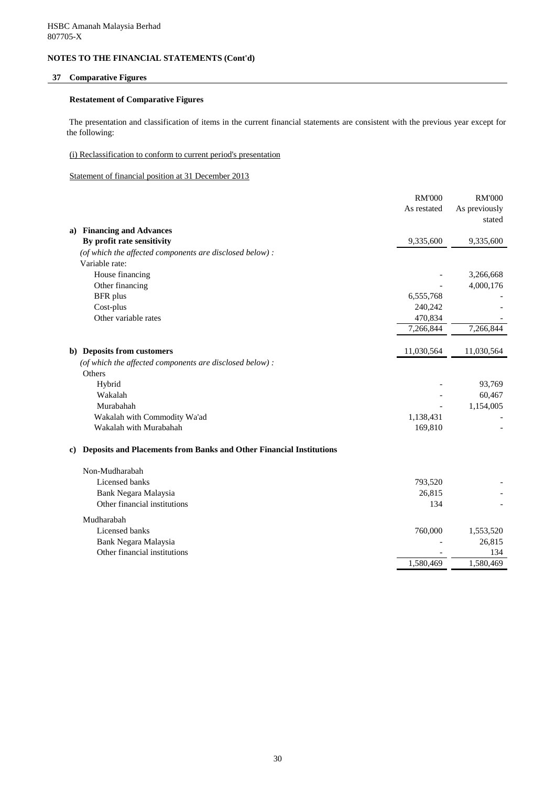## **37 Comparative Figures**

## **Restatement of Comparative Figures**

The presentation and classification of items in the current financial statements are consistent with the previous year except for the following:

## (i) Reclassification to conform to current period's presentation

Statement of financial position at 31 December 2013

|    |                                                                            | <b>RM'000</b> | <b>RM'000</b> |
|----|----------------------------------------------------------------------------|---------------|---------------|
|    |                                                                            | As restated   | As previously |
|    |                                                                            |               | stated        |
| a) | <b>Financing and Advances</b>                                              |               |               |
|    | By profit rate sensitivity                                                 | 9,335,600     | 9,335,600     |
|    | (of which the affected components are disclosed below):                    |               |               |
|    | Variable rate:                                                             |               |               |
|    | House financing                                                            |               | 3,266,668     |
|    | Other financing                                                            |               | 4,000,176     |
|    | <b>BFR</b> plus                                                            | 6,555,768     |               |
|    | Cost-plus                                                                  | 240,242       |               |
|    | Other variable rates                                                       | 470,834       |               |
|    |                                                                            | 7,266,844     | 7,266,844     |
|    | b) Deposits from customers                                                 | 11,030,564    | 11,030,564    |
|    | (of which the affected components are disclosed below) :                   |               |               |
|    | Others                                                                     |               |               |
|    | Hybrid                                                                     |               | 93,769        |
|    | Wakalah                                                                    |               | 60,467        |
|    | Murabahah                                                                  |               | 1,154,005     |
|    | Wakalah with Commodity Wa'ad                                               | 1,138,431     |               |
|    | Wakalah with Murabahah                                                     | 169,810       |               |
| C) | <b>Deposits and Placements from Banks and Other Financial Institutions</b> |               |               |
|    | Non-Mudharabah                                                             |               |               |
|    | Licensed banks                                                             | 793,520       |               |
|    | Bank Negara Malaysia                                                       | 26,815        |               |
|    | Other financial institutions                                               | 134           |               |
|    | Mudharabah                                                                 |               |               |
|    | Licensed banks                                                             | 760,000       | 1,553,520     |
|    | Bank Negara Malaysia                                                       |               | 26,815        |
|    | Other financial institutions                                               |               | 134           |
|    |                                                                            | 1,580,469     | 1,580,469     |